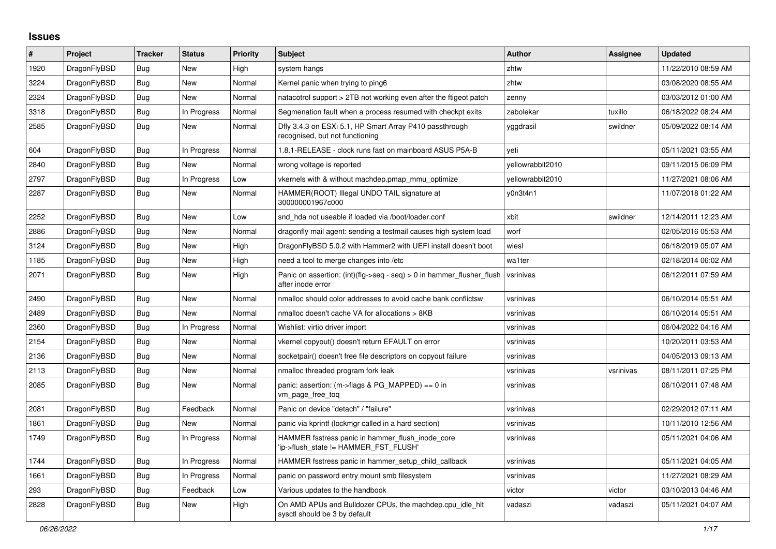## **Issues**

| $\#$ | Project      | <b>Tracker</b> | <b>Status</b> | <b>Priority</b> | <b>Subject</b>                                                                             | <b>Author</b>    | Assignee  | <b>Updated</b>      |
|------|--------------|----------------|---------------|-----------------|--------------------------------------------------------------------------------------------|------------------|-----------|---------------------|
| 1920 | DragonFlyBSD | <b>Bug</b>     | <b>New</b>    | High            | system hangs                                                                               | zhtw             |           | 11/22/2010 08:59 AM |
| 3224 | DragonFlyBSD | Bug            | New           | Normal          | Kernel panic when trying to ping6                                                          | zhtw             |           | 03/08/2020 08:55 AM |
| 2324 | DragonFlyBSD | <b>Bug</b>     | New           | Normal          | natacotrol support > 2TB not working even after the ftigeot patch                          | zenny            |           | 03/03/2012 01:00 AM |
| 3318 | DragonFlyBSD | Bug            | In Progress   | Normal          | Segmenation fault when a process resumed with checkpt exits                                | zabolekar        | tuxillo   | 06/18/2022 08:24 AM |
| 2585 | DragonFlyBSD | Bug            | New           | Normal          | Dfly 3.4.3 on ESXi 5.1, HP Smart Array P410 passthrough<br>recognised, but not functioning | yggdrasil        | swildner  | 05/09/2022 08:14 AM |
| 604  | DragonFlyBSD | <b>Bug</b>     | In Progress   | Normal          | 1.8.1-RELEASE - clock runs fast on mainboard ASUS P5A-B                                    | yeti             |           | 05/11/2021 03:55 AM |
| 2840 | DragonFlyBSD | Bug            | New           | Normal          | wrong voltage is reported                                                                  | yellowrabbit2010 |           | 09/11/2015 06:09 PM |
| 2797 | DragonFlyBSD | <b>Bug</b>     | In Progress   | Low             | vkernels with & without machdep.pmap mmu optimize                                          | yellowrabbit2010 |           | 11/27/2021 08:06 AM |
| 2287 | DragonFlyBSD | Bug            | New           | Normal          | HAMMER(ROOT) Illegal UNDO TAIL signature at<br>300000001967c000                            | y0n3t4n1         |           | 11/07/2018 01:22 AM |
| 2252 | DragonFlyBSD | <b>Bug</b>     | New           | Low             | snd hda not useable if loaded via /boot/loader.conf                                        | xbit             | swildner  | 12/14/2011 12:23 AM |
| 2886 | DragonFlyBSD | Bug            | <b>New</b>    | Normal          | dragonfly mail agent: sending a testmail causes high system load                           | worf             |           | 02/05/2016 05:53 AM |
| 3124 | DragonFlyBSD | <b>Bug</b>     | <b>New</b>    | High            | DragonFlyBSD 5.0.2 with Hammer2 with UEFI install doesn't boot                             | wiesl            |           | 06/18/2019 05:07 AM |
| 1185 | DragonFlyBSD | Bug            | New           | High            | need a tool to merge changes into /etc                                                     | wa1ter           |           | 02/18/2014 06:02 AM |
| 2071 | DragonFlyBSD | Bug            | New           | High            | Panic on assertion: (int)(flg->seq - seq) > 0 in hammer flusher flush<br>after inode error | vsrinivas        |           | 06/12/2011 07:59 AM |
| 2490 | DragonFlyBSD | Bug            | <b>New</b>    | Normal          | nmalloc should color addresses to avoid cache bank conflictsw                              | vsrinivas        |           | 06/10/2014 05:51 AM |
| 2489 | DragonFlyBSD | Bug            | <b>New</b>    | Normal          | nmalloc doesn't cache VA for allocations > 8KB                                             | vsrinivas        |           | 06/10/2014 05:51 AM |
| 2360 | DragonFlyBSD | <b>Bug</b>     | In Progress   | Normal          | Wishlist: virtio driver import                                                             | vsrinivas        |           | 06/04/2022 04:16 AM |
| 2154 | DragonFlyBSD | Bug            | New           | Normal          | vkernel copyout() doesn't return EFAULT on error                                           | vsrinivas        |           | 10/20/2011 03:53 AM |
| 2136 | DragonFlyBSD | Bug            | New           | Normal          | socketpair() doesn't free file descriptors on copyout failure                              | vsrinivas        |           | 04/05/2013 09:13 AM |
| 2113 | DragonFlyBSD | Bug            | New           | Normal          | nmalloc threaded program fork leak                                                         | vsrinivas        | vsrinivas | 08/11/2011 07:25 PM |
| 2085 | DragonFlyBSD | Bug            | New           | Normal          | panic: assertion: $(m\text{-}$ sflags & PG MAPPED) == 0 in<br>vm_page_free_toq             | vsrinivas        |           | 06/10/2011 07:48 AM |
| 2081 | DragonFlyBSD | <b>Bug</b>     | Feedback      | Normal          | Panic on device "detach" / "failure"                                                       | vsrinivas        |           | 02/29/2012 07:11 AM |
| 1861 | DragonFlyBSD | Bug            | New           | Normal          | panic via kprintf (lockmgr called in a hard section)                                       | vsrinivas        |           | 10/11/2010 12:56 AM |
| 1749 | DragonFlyBSD | <b>Bug</b>     | In Progress   | Normal          | HAMMER fsstress panic in hammer flush inode core<br>'ip->flush state != HAMMER FST FLUSH'  | vsrinivas        |           | 05/11/2021 04:06 AM |
| 1744 | DragonFlyBSD | Bug            | In Progress   | Normal          | HAMMER fsstress panic in hammer setup child callback                                       | vsrinivas        |           | 05/11/2021 04:05 AM |
| 1661 | DragonFlyBSD | Bug            | In Progress   | Normal          | panic on password entry mount smb filesystem                                               | vsrinivas        |           | 11/27/2021 08:29 AM |
| 293  | DragonFlyBSD | Bug            | Feedback      | Low             | Various updates to the handbook                                                            | victor           | victor    | 03/10/2013 04:46 AM |
| 2828 | DragonFlyBSD | <b>Bug</b>     | <b>New</b>    | High            | On AMD APUs and Bulldozer CPUs, the machdep.cpu_idle_hlt<br>sysctl should be 3 by default  | vadaszi          | vadaszi   | 05/11/2021 04:07 AM |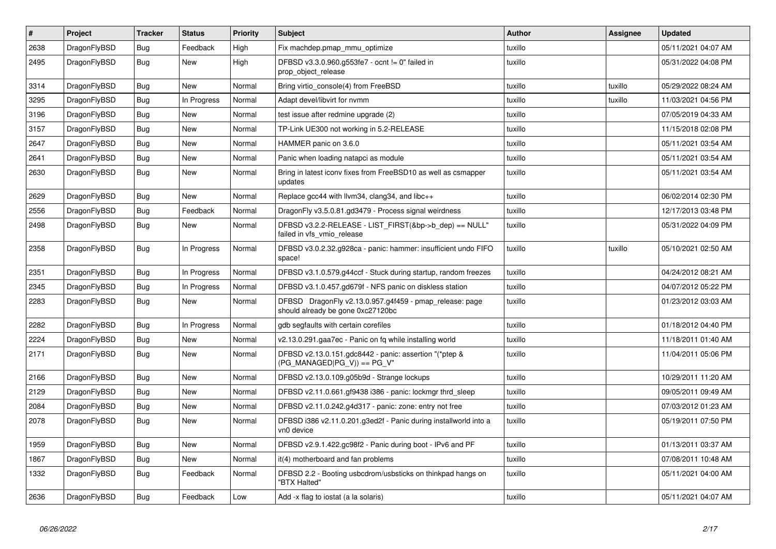| $\vert$ # | Project      | <b>Tracker</b> | <b>Status</b> | <b>Priority</b> | <b>Subject</b>                                                                               | <b>Author</b> | Assignee | Updated             |
|-----------|--------------|----------------|---------------|-----------------|----------------------------------------------------------------------------------------------|---------------|----------|---------------------|
| 2638      | DragonFlyBSD | Bug            | Feedback      | High            | Fix machdep.pmap mmu optimize                                                                | tuxillo       |          | 05/11/2021 04:07 AM |
| 2495      | DragonFlyBSD | <b>Bug</b>     | <b>New</b>    | High            | DFBSD v3.3.0.960.g553fe7 - ocnt != 0" failed in<br>prop object release                       | tuxillo       |          | 05/31/2022 04:08 PM |
| 3314      | DragonFlyBSD | Bug            | <b>New</b>    | Normal          | Bring virtio console(4) from FreeBSD                                                         | tuxillo       | tuxillo  | 05/29/2022 08:24 AM |
| 3295      | DragonFlyBSD | Bug            | In Progress   | Normal          | Adapt devel/libvirt for nvmm                                                                 | tuxillo       | tuxillo  | 11/03/2021 04:56 PM |
| 3196      | DragonFlyBSD | Bug            | New           | Normal          | test issue after redmine upgrade (2)                                                         | tuxillo       |          | 07/05/2019 04:33 AM |
| 3157      | DragonFlyBSD | <b>Bug</b>     | New           | Normal          | TP-Link UE300 not working in 5.2-RELEASE                                                     | tuxillo       |          | 11/15/2018 02:08 PM |
| 2647      | DragonFlyBSD | <b>Bug</b>     | <b>New</b>    | Normal          | HAMMER panic on 3.6.0                                                                        | tuxillo       |          | 05/11/2021 03:54 AM |
| 2641      | DragonFlyBSD | Bug            | New           | Normal          | Panic when loading natapci as module                                                         | tuxillo       |          | 05/11/2021 03:54 AM |
| 2630      | DragonFlyBSD | Bug            | New           | Normal          | Bring in latest iconv fixes from FreeBSD10 as well as csmapper<br>updates                    | tuxillo       |          | 05/11/2021 03:54 AM |
| 2629      | DragonFlyBSD | <b>Bug</b>     | <b>New</b>    | Normal          | Replace gcc44 with llvm34, clang34, and libc++                                               | tuxillo       |          | 06/02/2014 02:30 PM |
| 2556      | DragonFlyBSD | Bug            | Feedback      | Normal          | DragonFly v3.5.0.81.gd3479 - Process signal weirdness                                        | tuxillo       |          | 12/17/2013 03:48 PM |
| 2498      | DragonFlyBSD | <b>Bug</b>     | <b>New</b>    | Normal          | DFBSD v3.2.2-RELEASE - LIST_FIRST(&bp->b_dep) == NULL"<br>failed in vfs vmio release         | tuxillo       |          | 05/31/2022 04:09 PM |
| 2358      | DragonFlyBSD | <b>Bug</b>     | In Progress   | Normal          | DFBSD v3.0.2.32.g928ca - panic: hammer: insufficient undo FIFO<br>space!                     | tuxillo       | tuxillo  | 05/10/2021 02:50 AM |
| 2351      | DragonFlyBSD | <b>Bug</b>     | In Progress   | Normal          | DFBSD v3.1.0.579.g44ccf - Stuck during startup, random freezes                               | tuxillo       |          | 04/24/2012 08:21 AM |
| 2345      | DragonFlyBSD | <b>Bug</b>     | In Progress   | Normal          | DFBSD v3.1.0.457.gd679f - NFS panic on diskless station                                      | tuxillo       |          | 04/07/2012 05:22 PM |
| 2283      | DragonFlyBSD | <b>Bug</b>     | <b>New</b>    | Normal          | DFBSD DragonFly v2.13.0.957.g4f459 - pmap_release: page<br>should already be gone 0xc27120bc | tuxillo       |          | 01/23/2012 03:03 AM |
| 2282      | DragonFlyBSD | Bug            | In Progress   | Normal          | gdb segfaults with certain corefiles                                                         | tuxillo       |          | 01/18/2012 04:40 PM |
| 2224      | DragonFlyBSD | <b>Bug</b>     | New           | Normal          | v2.13.0.291.gaa7ec - Panic on fq while installing world                                      | tuxillo       |          | 11/18/2011 01:40 AM |
| 2171      | DragonFlyBSD | Bug            | <b>New</b>    | Normal          | DFBSD v2.13.0.151.gdc8442 - panic: assertion "(*ptep &<br>(PG_MANAGED PG_V)) == PG_V"        | tuxillo       |          | 11/04/2011 05:06 PM |
| 2166      | DragonFlyBSD | Bug            | New           | Normal          | DFBSD v2.13.0.109.g05b9d - Strange lockups                                                   | tuxillo       |          | 10/29/2011 11:20 AM |
| 2129      | DragonFlyBSD | Bug            | New           | Normal          | DFBSD v2.11.0.661.gf9438 i386 - panic: lockmgr thrd_sleep                                    | tuxillo       |          | 09/05/2011 09:49 AM |
| 2084      | DragonFlyBSD | Bug            | New           | Normal          | DFBSD v2.11.0.242.g4d317 - panic: zone: entry not free                                       | tuxillo       |          | 07/03/2012 01:23 AM |
| 2078      | DragonFlyBSD | <b>Bug</b>     | New           | Normal          | DFBSD i386 v2.11.0.201.g3ed2f - Panic during installworld into a<br>vn0 device               | tuxillo       |          | 05/19/2011 07:50 PM |
| 1959      | DragonFlyBSD | Bug            | New           | Normal          | DFBSD v2.9.1.422.gc98f2 - Panic during boot - IPv6 and PF                                    | tuxillo       |          | 01/13/2011 03:37 AM |
| 1867      | DragonFlyBSD | <b>Bug</b>     | New           | Normal          | it(4) motherboard and fan problems                                                           | tuxillo       |          | 07/08/2011 10:48 AM |
| 1332      | DragonFlyBSD | <b>Bug</b>     | Feedback      | Normal          | DFBSD 2.2 - Booting usbcdrom/usbsticks on thinkpad hangs on<br>"BTX Halted"                  | tuxillo       |          | 05/11/2021 04:00 AM |
| 2636      | DragonFlyBSD | Bug            | Feedback      | Low             | Add -x flag to iostat (a la solaris)                                                         | tuxillo       |          | 05/11/2021 04:07 AM |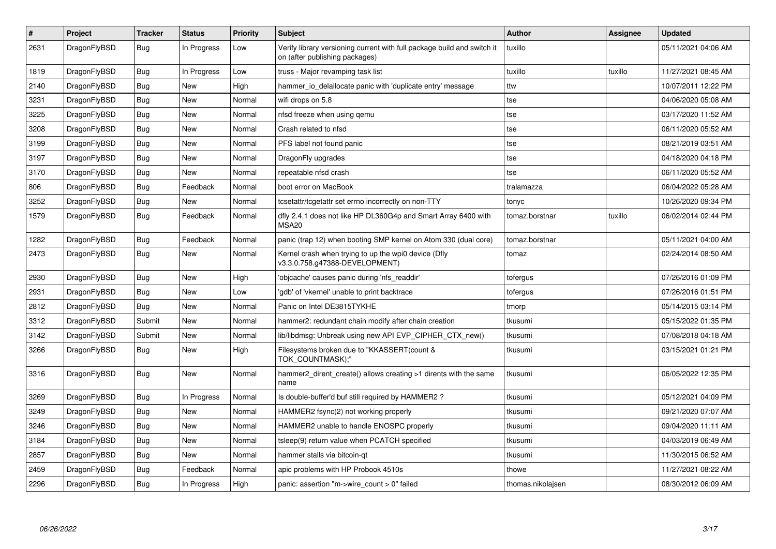| $\#$ | <b>Project</b> | <b>Tracker</b> | <b>Status</b> | <b>Priority</b> | <b>Subject</b>                                                                                            | <b>Author</b>     | Assignee | <b>Updated</b>      |
|------|----------------|----------------|---------------|-----------------|-----------------------------------------------------------------------------------------------------------|-------------------|----------|---------------------|
| 2631 | DragonFlyBSD   | Bug            | In Progress   | Low             | Verify library versioning current with full package build and switch it<br>on (after publishing packages) | tuxillo           |          | 05/11/2021 04:06 AM |
| 1819 | DragonFlyBSD   | <b>Bug</b>     | In Progress   | Low             | truss - Major revamping task list                                                                         | tuxillo           | tuxillo  | 11/27/2021 08:45 AM |
| 2140 | DragonFlyBSD   | <b>Bug</b>     | <b>New</b>    | High            | hammer_io_delallocate panic with 'duplicate entry' message                                                | ttw               |          | 10/07/2011 12:22 PM |
| 3231 | DragonFlyBSD   | Bug            | <b>New</b>    | Normal          | wifi drops on 5.8                                                                                         | tse               |          | 04/06/2020 05:08 AM |
| 3225 | DragonFlyBSD   | Bug            | <b>New</b>    | Normal          | nfsd freeze when using gemu                                                                               | tse               |          | 03/17/2020 11:52 AM |
| 3208 | DragonFlyBSD   | Bug            | <b>New</b>    | Normal          | Crash related to nfsd                                                                                     | tse               |          | 06/11/2020 05:52 AM |
| 3199 | DragonFlyBSD   | Bug            | New           | Normal          | PFS label not found panic                                                                                 | tse               |          | 08/21/2019 03:51 AM |
| 3197 | DragonFlyBSD   | Bug            | New           | Normal          | DragonFly upgrades                                                                                        | tse               |          | 04/18/2020 04:18 PM |
| 3170 | DragonFlyBSD   | <b>Bug</b>     | <b>New</b>    | Normal          | repeatable nfsd crash                                                                                     | tse               |          | 06/11/2020 05:52 AM |
| 806  | DragonFlyBSD   | Bug            | Feedback      | Normal          | boot error on MacBook                                                                                     | tralamazza        |          | 06/04/2022 05:28 AM |
| 3252 | DragonFlyBSD   | Bug            | New           | Normal          | tcsetattr/tcgetattr set errno incorrectly on non-TTY                                                      | tonyc             |          | 10/26/2020 09:34 PM |
| 1579 | DragonFlyBSD   | Bug            | Feedback      | Normal          | dfly 2.4.1 does not like HP DL360G4p and Smart Array 6400 with<br>MSA <sub>20</sub>                       | tomaz.borstnar    | tuxillo  | 06/02/2014 02:44 PM |
| 1282 | DragonFlyBSD   | Bug            | Feedback      | Normal          | panic (trap 12) when booting SMP kernel on Atom 330 (dual core)                                           | tomaz.borstnar    |          | 05/11/2021 04:00 AM |
| 2473 | DragonFlyBSD   | Bug            | New           | Normal          | Kernel crash when trying to up the wpi0 device (Dfly<br>v3.3.0.758.g47388-DEVELOPMENT)                    | tomaz             |          | 02/24/2014 08:50 AM |
| 2930 | DragonFlyBSD   | <b>Bug</b>     | <b>New</b>    | High            | 'objcache' causes panic during 'nfs_readdir'                                                              | tofergus          |          | 07/26/2016 01:09 PM |
| 2931 | DragonFlyBSD   | Bug            | <b>New</b>    | Low             | 'gdb' of 'vkernel' unable to print backtrace                                                              | tofergus          |          | 07/26/2016 01:51 PM |
| 2812 | DragonFlyBSD   | Bug            | New           | Normal          | Panic on Intel DE3815TYKHE                                                                                | tmorp             |          | 05/14/2015 03:14 PM |
| 3312 | DragonFlyBSD   | Submit         | New           | Normal          | hammer2: redundant chain modify after chain creation                                                      | tkusumi           |          | 05/15/2022 01:35 PM |
| 3142 | DragonFlyBSD   | Submit         | <b>New</b>    | Normal          | lib/libdmsg: Unbreak using new API EVP CIPHER CTX new()                                                   | tkusumi           |          | 07/08/2018 04:18 AM |
| 3266 | DragonFlyBSD   | Bug            | New           | High            | Filesystems broken due to "KKASSERT(count &<br>TOK_COUNTMASK);"                                           | tkusumi           |          | 03/15/2021 01:21 PM |
| 3316 | DragonFlyBSD   | <b>Bug</b>     | New           | Normal          | hammer2_dirent_create() allows creating >1 dirents with the same<br>name                                  | tkusumi           |          | 06/05/2022 12:35 PM |
| 3269 | DragonFlyBSD   | Bug            | In Progress   | Normal          | Is double-buffer'd buf still required by HAMMER2?                                                         | tkusumi           |          | 05/12/2021 04:09 PM |
| 3249 | DragonFlyBSD   | Bug            | New           | Normal          | HAMMER2 fsync(2) not working properly                                                                     | tkusumi           |          | 09/21/2020 07:07 AM |
| 3246 | DragonFlyBSD   | <b>Bug</b>     | <b>New</b>    | Normal          | HAMMER2 unable to handle ENOSPC properly                                                                  | tkusumi           |          | 09/04/2020 11:11 AM |
| 3184 | DragonFlyBSD   | Bug            | <b>New</b>    | Normal          | tsleep(9) return value when PCATCH specified                                                              | tkusumi           |          | 04/03/2019 06:49 AM |
| 2857 | DragonFlyBSD   | Bug            | New           | Normal          | hammer stalls via bitcoin-qt                                                                              | tkusumi           |          | 11/30/2015 06:52 AM |
| 2459 | DragonFlyBSD   | <b>Bug</b>     | Feedback      | Normal          | apic problems with HP Probook 4510s                                                                       | thowe             |          | 11/27/2021 08:22 AM |
| 2296 | DragonFlyBSD   | Bug            | In Progress   | High            | panic: assertion "m->wire count > $0$ " failed                                                            | thomas.nikolajsen |          | 08/30/2012 06:09 AM |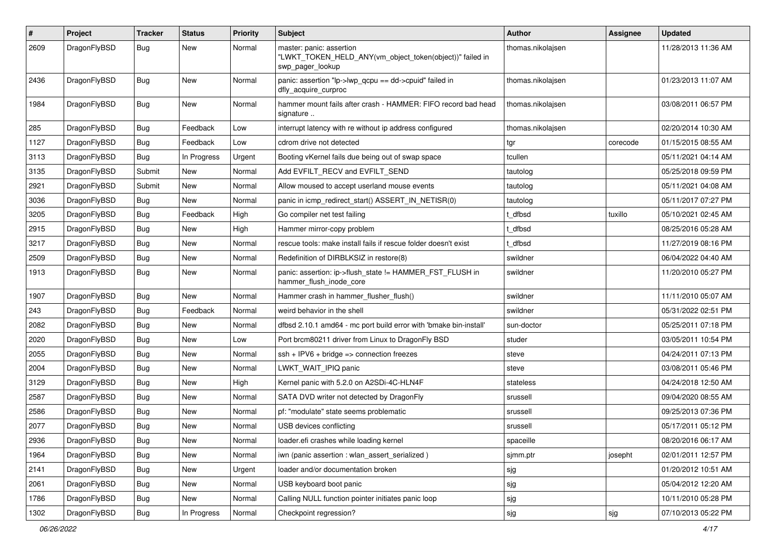| $\#$ | Project      | <b>Tracker</b> | <b>Status</b> | <b>Priority</b> | Subject                                                                                                  | <b>Author</b>     | Assignee | <b>Updated</b>      |
|------|--------------|----------------|---------------|-----------------|----------------------------------------------------------------------------------------------------------|-------------------|----------|---------------------|
| 2609 | DragonFlyBSD | Bug            | New           | Normal          | master: panic: assertion<br>"LWKT_TOKEN_HELD_ANY(vm_object_token(object))" failed in<br>swp_pager_lookup | thomas.nikolajsen |          | 11/28/2013 11:36 AM |
| 2436 | DragonFlyBSD | Bug            | <b>New</b>    | Normal          | panic: assertion "lp->lwp_qcpu == dd->cpuid" failed in<br>dfly_acquire_curproc                           | thomas.nikolajsen |          | 01/23/2013 11:07 AM |
| 1984 | DragonFlyBSD | Bug            | <b>New</b>    | Normal          | hammer mount fails after crash - HAMMER: FIFO record bad head<br>signature                               | thomas.nikolajsen |          | 03/08/2011 06:57 PM |
| 285  | DragonFlyBSD | Bug            | Feedback      | Low             | interrupt latency with re without ip address configured                                                  | thomas.nikolajsen |          | 02/20/2014 10:30 AM |
| 1127 | DragonFlyBSD | Bug            | Feedback      | Low             | cdrom drive not detected                                                                                 | tgr               | corecode | 01/15/2015 08:55 AM |
| 3113 | DragonFlyBSD | Bug            | In Progress   | Urgent          | Booting vKernel fails due being out of swap space                                                        | tcullen           |          | 05/11/2021 04:14 AM |
| 3135 | DragonFlyBSD | Submit         | New           | Normal          | Add EVFILT_RECV and EVFILT_SEND                                                                          | tautolog          |          | 05/25/2018 09:59 PM |
| 2921 | DragonFlyBSD | Submit         | <b>New</b>    | Normal          | Allow moused to accept userland mouse events                                                             | tautolog          |          | 05/11/2021 04:08 AM |
| 3036 | DragonFlyBSD | Bug            | <b>New</b>    | Normal          | panic in icmp_redirect_start() ASSERT_IN_NETISR(0)                                                       | tautolog          |          | 05/11/2017 07:27 PM |
| 3205 | DragonFlyBSD | Bug            | Feedback      | High            | Go compiler net test failing                                                                             | t dfbsd           | tuxillo  | 05/10/2021 02:45 AM |
| 2915 | DragonFlyBSD | Bug            | <b>New</b>    | High            | Hammer mirror-copy problem                                                                               | t dfbsd           |          | 08/25/2016 05:28 AM |
| 3217 | DragonFlyBSD | Bug            | New           | Normal          | rescue tools: make install fails if rescue folder doesn't exist                                          | t dfbsd           |          | 11/27/2019 08:16 PM |
| 2509 | DragonFlyBSD | Bug            | <b>New</b>    | Normal          | Redefinition of DIRBLKSIZ in restore(8)                                                                  | swildner          |          | 06/04/2022 04:40 AM |
| 1913 | DragonFlyBSD | Bug            | New           | Normal          | panic: assertion: ip->flush_state != HAMMER_FST_FLUSH in<br>hammer_flush_inode_core                      | swildner          |          | 11/20/2010 05:27 PM |
| 1907 | DragonFlyBSD | Bug            | <b>New</b>    | Normal          | Hammer crash in hammer_flusher_flush()                                                                   | swildner          |          | 11/11/2010 05:07 AM |
| 243  | DragonFlyBSD | Bug            | Feedback      | Normal          | weird behavior in the shell                                                                              | swildner          |          | 05/31/2022 02:51 PM |
| 2082 | DragonFlyBSD | Bug            | New           | Normal          | dfbsd 2.10.1 amd64 - mc port build error with 'bmake bin-install'                                        | sun-doctor        |          | 05/25/2011 07:18 PM |
| 2020 | DragonFlyBSD | Bug            | <b>New</b>    | Low             | Port brcm80211 driver from Linux to DragonFly BSD                                                        | studer            |          | 03/05/2011 10:54 PM |
| 2055 | DragonFlyBSD | Bug            | New           | Normal          | $ssh + IPV6 + bridge \Rightarrow$ connection freezes                                                     | steve             |          | 04/24/2011 07:13 PM |
| 2004 | DragonFlyBSD | Bug            | New           | Normal          | LWKT_WAIT_IPIQ panic                                                                                     | steve             |          | 03/08/2011 05:46 PM |
| 3129 | DragonFlyBSD | Bug            | <b>New</b>    | High            | Kernel panic with 5.2.0 on A2SDi-4C-HLN4F                                                                | stateless         |          | 04/24/2018 12:50 AM |
| 2587 | DragonFlyBSD | Bug            | New           | Normal          | SATA DVD writer not detected by DragonFly                                                                | srussell          |          | 09/04/2020 08:55 AM |
| 2586 | DragonFlyBSD | Bug            | <b>New</b>    | Normal          | pf: "modulate" state seems problematic                                                                   | srussell          |          | 09/25/2013 07:36 PM |
| 2077 | DragonFlyBSD | Bug            | New           | Normal          | USB devices conflicting                                                                                  | srussell          |          | 05/17/2011 05:12 PM |
| 2936 | DragonFlyBSD | <b>Bug</b>     | New           | Normal          | loader.efi crashes while loading kernel                                                                  | spaceille         |          | 08/20/2016 06:17 AM |
| 1964 | DragonFlyBSD | Bug            | New           | Normal          | iwn (panic assertion : wlan assert serialized)                                                           | sjmm.ptr          | josepht  | 02/01/2011 12:57 PM |
| 2141 | DragonFlyBSD | <b>Bug</b>     | New           | Urgent          | loader and/or documentation broken                                                                       | sjg               |          | 01/20/2012 10:51 AM |
| 2061 | DragonFlyBSD | <b>Bug</b>     | New           | Normal          | USB keyboard boot panic                                                                                  | sjg               |          | 05/04/2012 12:20 AM |
| 1786 | DragonFlyBSD | <b>Bug</b>     | New           | Normal          | Calling NULL function pointer initiates panic loop                                                       | sjg               |          | 10/11/2010 05:28 PM |
| 1302 | DragonFlyBSD | <b>Bug</b>     | In Progress   | Normal          | Checkpoint regression?                                                                                   | sjg               | sjg      | 07/10/2013 05:22 PM |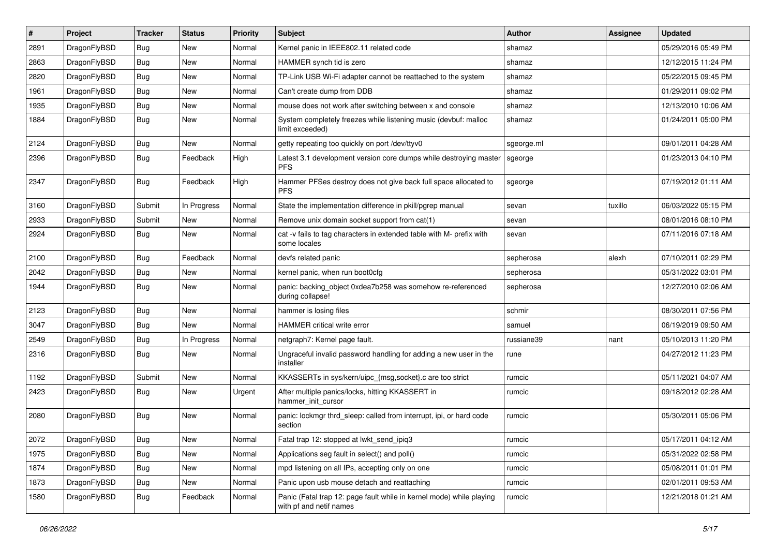| #    | Project      | <b>Tracker</b> | <b>Status</b> | <b>Priority</b> | <b>Subject</b>                                                                                  | Author     | <b>Assignee</b> | <b>Updated</b>      |
|------|--------------|----------------|---------------|-----------------|-------------------------------------------------------------------------------------------------|------------|-----------------|---------------------|
| 2891 | DragonFlyBSD | Bug            | <b>New</b>    | Normal          | Kernel panic in IEEE802.11 related code                                                         | shamaz     |                 | 05/29/2016 05:49 PM |
| 2863 | DragonFlyBSD | Bug            | <b>New</b>    | Normal          | HAMMER synch tid is zero                                                                        | shamaz     |                 | 12/12/2015 11:24 PM |
| 2820 | DragonFlyBSD | <b>Bug</b>     | <b>New</b>    | Normal          | TP-Link USB Wi-Fi adapter cannot be reattached to the system                                    | shamaz     |                 | 05/22/2015 09:45 PM |
| 1961 | DragonFlyBSD | Bug            | <b>New</b>    | Normal          | Can't create dump from DDB                                                                      | shamaz     |                 | 01/29/2011 09:02 PM |
| 1935 | DragonFlyBSD | <b>Bug</b>     | <b>New</b>    | Normal          | mouse does not work after switching between x and console                                       | shamaz     |                 | 12/13/2010 10:06 AM |
| 1884 | DragonFlyBSD | Bug            | New           | Normal          | System completely freezes while listening music (devbuf: malloc<br>limit exceeded)              | shamaz     |                 | 01/24/2011 05:00 PM |
| 2124 | DragonFlyBSD | Bug            | New           | Normal          | getty repeating too quickly on port /dev/ttyv0                                                  | sgeorge.ml |                 | 09/01/2011 04:28 AM |
| 2396 | DragonFlyBSD | Bug            | Feedback      | High            | Latest 3.1 development version core dumps while destroying master<br><b>PFS</b>                 | sgeorge    |                 | 01/23/2013 04:10 PM |
| 2347 | DragonFlyBSD | <b>Bug</b>     | Feedback      | High            | Hammer PFSes destroy does not give back full space allocated to<br><b>PFS</b>                   | sgeorge    |                 | 07/19/2012 01:11 AM |
| 3160 | DragonFlyBSD | Submit         | In Progress   | Normal          | State the implementation difference in pkill/pgrep manual                                       | sevan      | tuxillo         | 06/03/2022 05:15 PM |
| 2933 | DragonFlyBSD | Submit         | New           | Normal          | Remove unix domain socket support from cat(1)                                                   | sevan      |                 | 08/01/2016 08:10 PM |
| 2924 | DragonFlyBSD | <b>Bug</b>     | <b>New</b>    | Normal          | cat -v fails to tag characters in extended table with M- prefix with<br>some locales            | sevan      |                 | 07/11/2016 07:18 AM |
| 2100 | DragonFlyBSD | <b>Bug</b>     | Feedback      | Normal          | devfs related panic                                                                             | sepherosa  | alexh           | 07/10/2011 02:29 PM |
| 2042 | DragonFlyBSD | <b>Bug</b>     | <b>New</b>    | Normal          | kernel panic, when run boot0cfg                                                                 | sepherosa  |                 | 05/31/2022 03:01 PM |
| 1944 | DragonFlyBSD | <b>Bug</b>     | <b>New</b>    | Normal          | panic: backing_object 0xdea7b258 was somehow re-referenced<br>during collapse!                  | sepherosa  |                 | 12/27/2010 02:06 AM |
| 2123 | DragonFlyBSD | <b>Bug</b>     | <b>New</b>    | Normal          | hammer is losing files                                                                          | schmir     |                 | 08/30/2011 07:56 PM |
| 3047 | DragonFlyBSD | <b>Bug</b>     | New           | Normal          | HAMMER critical write error                                                                     | samuel     |                 | 06/19/2019 09:50 AM |
| 2549 | DragonFlyBSD | Bug            | In Progress   | Normal          | netgraph7: Kernel page fault.                                                                   | russiane39 | nant            | 05/10/2013 11:20 PM |
| 2316 | DragonFlyBSD | Bug            | New           | Normal          | Ungraceful invalid password handling for adding a new user in the<br>installer                  | rune       |                 | 04/27/2012 11:23 PM |
| 1192 | DragonFlyBSD | Submit         | <b>New</b>    | Normal          | KKASSERTs in sys/kern/uipc_{msg,socket}.c are too strict                                        | rumcic     |                 | 05/11/2021 04:07 AM |
| 2423 | DragonFlyBSD | <b>Bug</b>     | <b>New</b>    | Urgent          | After multiple panics/locks, hitting KKASSERT in<br>hammer_init_cursor                          | rumcic     |                 | 09/18/2012 02:28 AM |
| 2080 | DragonFlyBSD | <b>Bug</b>     | <b>New</b>    | Normal          | panic: lockmgr thrd sleep: called from interrupt, ipi, or hard code<br>section                  | rumcic     |                 | 05/30/2011 05:06 PM |
| 2072 | DragonFlyBSD | Bug            | New           | Normal          | Fatal trap 12: stopped at lwkt_send_ipiq3                                                       | rumcic     |                 | 05/17/2011 04:12 AM |
| 1975 | DragonFlyBSD | <b>Bug</b>     | New           | Normal          | Applications seg fault in select() and poll()                                                   | rumcic     |                 | 05/31/2022 02:58 PM |
| 1874 | DragonFlyBSD | <b>Bug</b>     | New           | Normal          | mpd listening on all IPs, accepting only on one                                                 | rumcic     |                 | 05/08/2011 01:01 PM |
| 1873 | DragonFlyBSD | <b>Bug</b>     | New           | Normal          | Panic upon usb mouse detach and reattaching                                                     | rumcic     |                 | 02/01/2011 09:53 AM |
| 1580 | DragonFlyBSD | Bug            | Feedback      | Normal          | Panic (Fatal trap 12: page fault while in kernel mode) while playing<br>with pf and netif names | rumcic     |                 | 12/21/2018 01:21 AM |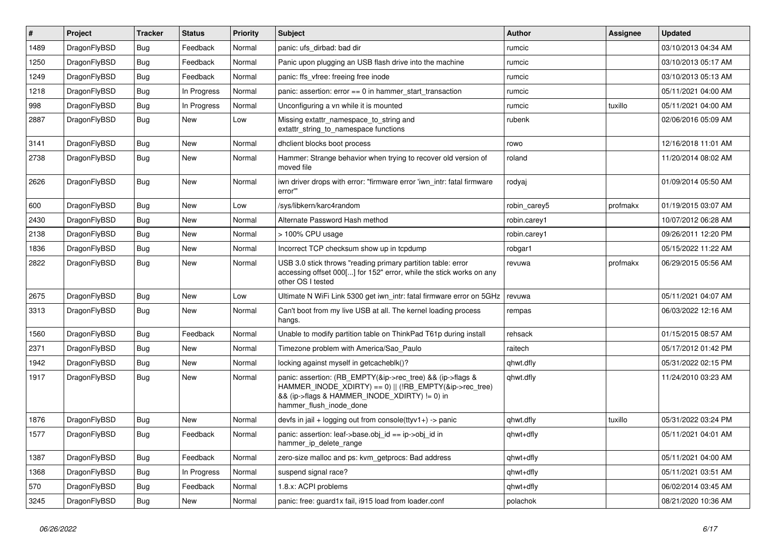| $\vert$ # | Project      | <b>Tracker</b> | <b>Status</b> | <b>Priority</b> | <b>Subject</b>                                                                                                                                                                                    | <b>Author</b> | <b>Assignee</b> | <b>Updated</b>      |
|-----------|--------------|----------------|---------------|-----------------|---------------------------------------------------------------------------------------------------------------------------------------------------------------------------------------------------|---------------|-----------------|---------------------|
| 1489      | DragonFlyBSD | <b>Bug</b>     | Feedback      | Normal          | panic: ufs dirbad: bad dir                                                                                                                                                                        | rumcic        |                 | 03/10/2013 04:34 AM |
| 1250      | DragonFlyBSD | <b>Bug</b>     | Feedback      | Normal          | Panic upon plugging an USB flash drive into the machine                                                                                                                                           | rumcic        |                 | 03/10/2013 05:17 AM |
| 1249      | DragonFlyBSD | Bug            | Feedback      | Normal          | panic: ffs_vfree: freeing free inode                                                                                                                                                              | rumcic        |                 | 03/10/2013 05:13 AM |
| 1218      | DragonFlyBSD | Bug            | In Progress   | Normal          | panic: assertion: $error == 0$ in hammer_start_transaction                                                                                                                                        | rumcic        |                 | 05/11/2021 04:00 AM |
| 998       | DragonFlyBSD | <b>Bug</b>     | In Progress   | Normal          | Unconfiguring a vn while it is mounted                                                                                                                                                            | rumcic        | tuxillo         | 05/11/2021 04:00 AM |
| 2887      | DragonFlyBSD | <b>Bug</b>     | New           | Low             | Missing extattr_namespace_to_string and<br>extattr string to namespace functions                                                                                                                  | rubenk        |                 | 02/06/2016 05:09 AM |
| 3141      | DragonFlyBSD | Bug            | <b>New</b>    | Normal          | dhclient blocks boot process                                                                                                                                                                      | rowo          |                 | 12/16/2018 11:01 AM |
| 2738      | DragonFlyBSD | <b>Bug</b>     | <b>New</b>    | Normal          | Hammer: Strange behavior when trying to recover old version of<br>moved file                                                                                                                      | roland        |                 | 11/20/2014 08:02 AM |
| 2626      | DragonFlyBSD | Bug            | <b>New</b>    | Normal          | iwn driver drops with error: "firmware error 'iwn intr: fatal firmware<br>error"                                                                                                                  | rodyaj        |                 | 01/09/2014 05:50 AM |
| 600       | DragonFlyBSD | <b>Bug</b>     | <b>New</b>    | Low             | /sys/libkern/karc4random                                                                                                                                                                          | robin_carey5  | profmakx        | 01/19/2015 03:07 AM |
| 2430      | DragonFlyBSD | Bug            | <b>New</b>    | Normal          | Alternate Password Hash method                                                                                                                                                                    | robin.carey1  |                 | 10/07/2012 06:28 AM |
| 2138      | DragonFlyBSD | <b>Bug</b>     | <b>New</b>    | Normal          | > 100% CPU usage                                                                                                                                                                                  | robin.carey1  |                 | 09/26/2011 12:20 PM |
| 1836      | DragonFlyBSD | <b>Bug</b>     | <b>New</b>    | Normal          | Incorrect TCP checksum show up in tcpdump                                                                                                                                                         | robgar1       |                 | 05/15/2022 11:22 AM |
| 2822      | DragonFlyBSD | <b>Bug</b>     | <b>New</b>    | Normal          | USB 3.0 stick throws "reading primary partition table: error<br>accessing offset 000[] for 152" error, while the stick works on any<br>other OS I tested                                          | revuwa        | profmakx        | 06/29/2015 05:56 AM |
| 2675      | DragonFlyBSD | Bug            | <b>New</b>    | Low             | Ultimate N WiFi Link 5300 get iwn intr: fatal firmware error on 5GHz                                                                                                                              | revuwa        |                 | 05/11/2021 04:07 AM |
| 3313      | DragonFlyBSD | Bug            | New           | Normal          | Can't boot from my live USB at all. The kernel loading process<br>hangs.                                                                                                                          | rempas        |                 | 06/03/2022 12:16 AM |
| 1560      | DragonFlyBSD | <b>Bug</b>     | Feedback      | Normal          | Unable to modify partition table on ThinkPad T61p during install                                                                                                                                  | rehsack       |                 | 01/15/2015 08:57 AM |
| 2371      | DragonFlyBSD | <b>Bug</b>     | <b>New</b>    | Normal          | Timezone problem with America/Sao Paulo                                                                                                                                                           | raitech       |                 | 05/17/2012 01:42 PM |
| 1942      | DragonFlyBSD | <b>Bug</b>     | <b>New</b>    | Normal          | locking against myself in getcacheblk()?                                                                                                                                                          | qhwt.dfly     |                 | 05/31/2022 02:15 PM |
| 1917      | DragonFlyBSD | <b>Bug</b>     | <b>New</b>    | Normal          | panic: assertion: (RB_EMPTY(&ip->rec_tree) && (ip->flags &<br>HAMMER_INODE_XDIRTY) == 0)    (!RB_EMPTY(&ip->rec_tree)<br>&& (ip->flags & HAMMER_INODE_XDIRTY) != 0) in<br>hammer flush inode done | qhwt.dfly     |                 | 11/24/2010 03:23 AM |
| 1876      | DragonFlyBSD | Bug            | <b>New</b>    | Normal          | devfs in jail + logging out from console(ttyv1+) -> panic                                                                                                                                         | qhwt.dfly     | tuxillo         | 05/31/2022 03:24 PM |
| 1577      | DragonFlyBSD | Bug            | Feedback      | Normal          | panic: assertion: leaf->base.obj id == ip->obj id in<br>hammer_ip_delete_range                                                                                                                    | qhwt+dfly     |                 | 05/11/2021 04:01 AM |
| 1387      | DragonFlyBSD | <b>Bug</b>     | Feedback      | Normal          | zero-size malloc and ps: kvm getprocs: Bad address                                                                                                                                                | qhwt+dfly     |                 | 05/11/2021 04:00 AM |
| 1368      | DragonFlyBSD | Bug            | In Progress   | Normal          | suspend signal race?                                                                                                                                                                              | qhwt+dfly     |                 | 05/11/2021 03:51 AM |
| 570       | DragonFlyBSD | <b>Bug</b>     | Feedback      | Normal          | 1.8.x: ACPI problems                                                                                                                                                                              | qhwt+dfly     |                 | 06/02/2014 03:45 AM |
| 3245      | DragonFlyBSD | <b>Bug</b>     | New           | Normal          | panic: free: guard1x fail, i915 load from loader.conf                                                                                                                                             | polachok      |                 | 08/21/2020 10:36 AM |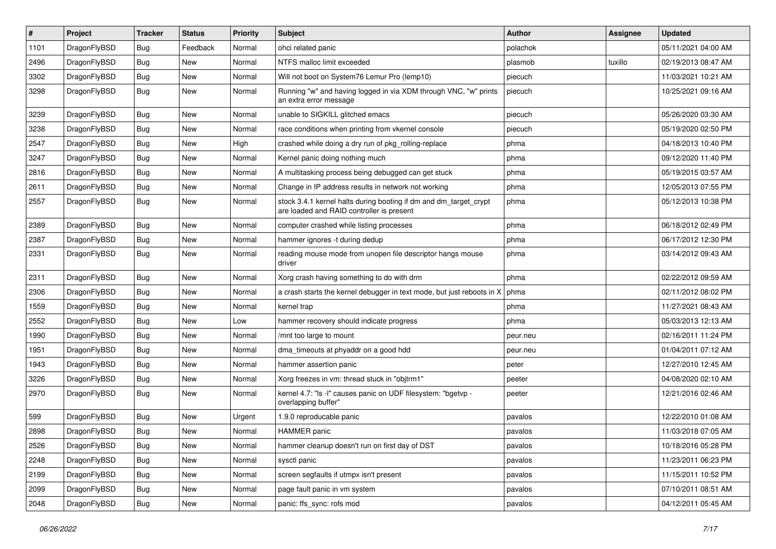| $\sharp$ | Project      | <b>Tracker</b> | <b>Status</b> | <b>Priority</b> | Subject                                                                                                        | Author   | Assignee | <b>Updated</b>      |
|----------|--------------|----------------|---------------|-----------------|----------------------------------------------------------------------------------------------------------------|----------|----------|---------------------|
| 1101     | DragonFlyBSD | <b>Bug</b>     | Feedback      | Normal          | ohci related panic                                                                                             | polachok |          | 05/11/2021 04:00 AM |
| 2496     | DragonFlyBSD | <b>Bug</b>     | New           | Normal          | NTFS malloc limit exceeded                                                                                     | plasmob  | tuxillo  | 02/19/2013 08:47 AM |
| 3302     | DragonFlyBSD | <b>Bug</b>     | New           | Normal          | Will not boot on System76 Lemur Pro (lemp10)                                                                   | piecuch  |          | 11/03/2021 10:21 AM |
| 3298     | DragonFlyBSD | <b>Bug</b>     | <b>New</b>    | Normal          | Running "w" and having logged in via XDM through VNC, "w" prints<br>an extra error message                     | piecuch  |          | 10/25/2021 09:16 AM |
| 3239     | DragonFlyBSD | <b>Bug</b>     | New           | Normal          | unable to SIGKILL glitched emacs                                                                               | piecuch  |          | 05/26/2020 03:30 AM |
| 3238     | DragonFlyBSD | <b>Bug</b>     | New           | Normal          | race conditions when printing from vkernel console                                                             | piecuch  |          | 05/19/2020 02:50 PM |
| 2547     | DragonFlyBSD | <b>Bug</b>     | New           | High            | crashed while doing a dry run of pkg rolling-replace                                                           | phma     |          | 04/18/2013 10:40 PM |
| 3247     | DragonFlyBSD | <b>Bug</b>     | New           | Normal          | Kernel panic doing nothing much                                                                                | phma     |          | 09/12/2020 11:40 PM |
| 2816     | DragonFlyBSD | <b>Bug</b>     | <b>New</b>    | Normal          | A multitasking process being debugged can get stuck                                                            | phma     |          | 05/19/2015 03:57 AM |
| 2611     | DragonFlyBSD | <b>Bug</b>     | New           | Normal          | Change in IP address results in network not working                                                            | phma     |          | 12/05/2013 07:55 PM |
| 2557     | DragonFlyBSD | <b>Bug</b>     | <b>New</b>    | Normal          | stock 3.4.1 kernel halts during booting if dm and dm_target_crypt<br>are loaded and RAID controller is present | phma     |          | 05/12/2013 10:38 PM |
| 2389     | DragonFlyBSD | <b>Bug</b>     | New           | Normal          | computer crashed while listing processes                                                                       | phma     |          | 06/18/2012 02:49 PM |
| 2387     | DragonFlyBSD | <b>Bug</b>     | New           | Normal          | hammer ignores -t during dedup                                                                                 | phma     |          | 06/17/2012 12:30 PM |
| 2331     | DragonFlyBSD | <b>Bug</b>     | <b>New</b>    | Normal          | reading mouse mode from unopen file descriptor hangs mouse<br>driver                                           | phma     |          | 03/14/2012 09:43 AM |
| 2311     | DragonFlyBSD | <b>Bug</b>     | <b>New</b>    | Normal          | Xorg crash having something to do with drm                                                                     | phma     |          | 02/22/2012 09:59 AM |
| 2306     | DragonFlyBSD | <b>Bug</b>     | New           | Normal          | a crash starts the kernel debugger in text mode, but just reboots in X                                         | phma     |          | 02/11/2012 08:02 PM |
| 1559     | DragonFlyBSD | <b>Bug</b>     | New           | Normal          | kernel trap                                                                                                    | phma     |          | 11/27/2021 08:43 AM |
| 2552     | DragonFlyBSD | Bug            | New           | Low             | hammer recovery should indicate progress                                                                       | phma     |          | 05/03/2013 12:13 AM |
| 1990     | DragonFlyBSD | Bug            | New           | Normal          | /mnt too large to mount                                                                                        | peur.neu |          | 02/16/2011 11:24 PM |
| 1951     | DragonFlyBSD | Bug            | <b>New</b>    | Normal          | dma_timeouts at phyaddr on a good hdd                                                                          | peur.neu |          | 01/04/2011 07:12 AM |
| 1943     | DragonFlyBSD | Bug            | <b>New</b>    | Normal          | hammer assertion panic                                                                                         | peter    |          | 12/27/2010 12:45 AM |
| 3226     | DragonFlyBSD | <b>Bug</b>     | New           | Normal          | Xorg freezes in vm: thread stuck in "objtrm1"                                                                  | peeter   |          | 04/08/2020 02:10 AM |
| 2970     | DragonFlyBSD | Bug            | New           | Normal          | kernel 4.7: "Is -l" causes panic on UDF filesystem: "bgetvp -<br>overlapping buffer"                           | peeter   |          | 12/21/2016 02:46 AM |
| 599      | DragonFlyBSD | Bug            | <b>New</b>    | Urgent          | 1.9.0 reproducable panic                                                                                       | pavalos  |          | 12/22/2010 01:08 AM |
| 2898     | DragonFlyBSD | Bug            | New           | Normal          | <b>HAMMER</b> panic                                                                                            | pavalos  |          | 11/03/2018 07:05 AM |
| 2526     | DragonFlyBSD | <b>Bug</b>     | New           | Normal          | hammer cleanup doesn't run on first day of DST                                                                 | pavalos  |          | 10/18/2016 05:28 PM |
| 2248     | DragonFlyBSD | <b>Bug</b>     | New           | Normal          | sysctl panic                                                                                                   | pavalos  |          | 11/23/2011 06:23 PM |
| 2199     | DragonFlyBSD | <b>Bug</b>     | New           | Normal          | screen segfaults if utmpx isn't present                                                                        | pavalos  |          | 11/15/2011 10:52 PM |
| 2099     | DragonFlyBSD | <b>Bug</b>     | New           | Normal          | page fault panic in vm system                                                                                  | pavalos  |          | 07/10/2011 08:51 AM |
| 2048     | DragonFlyBSD | <b>Bug</b>     | New           | Normal          | panic: ffs_sync: rofs mod                                                                                      | pavalos  |          | 04/12/2011 05:45 AM |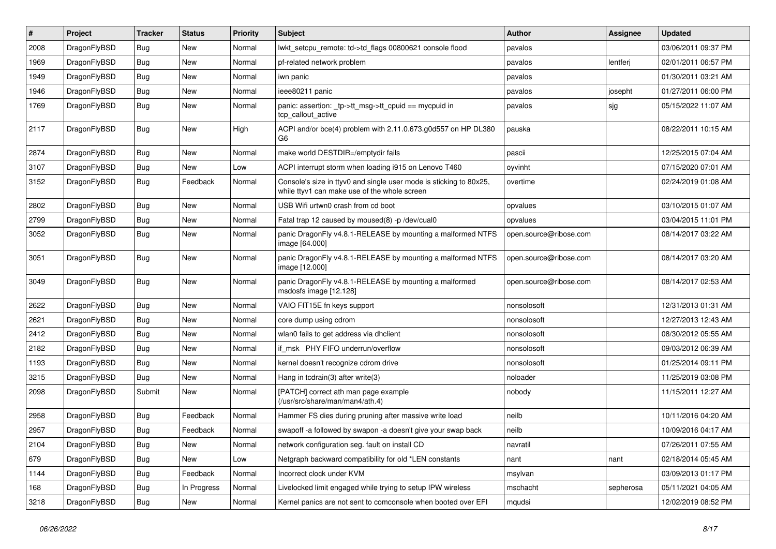| $\#$ | Project      | <b>Tracker</b> | <b>Status</b> | <b>Priority</b> | <b>Subject</b>                                                                                                     | Author                 | <b>Assignee</b> | <b>Updated</b>      |
|------|--------------|----------------|---------------|-----------------|--------------------------------------------------------------------------------------------------------------------|------------------------|-----------------|---------------------|
| 2008 | DragonFlyBSD | <b>Bug</b>     | New           | Normal          | lwkt setcpu remote: td->td flags 00800621 console flood                                                            | pavalos                |                 | 03/06/2011 09:37 PM |
| 1969 | DragonFlyBSD | <b>Bug</b>     | New           | Normal          | pf-related network problem                                                                                         | pavalos                | lentferj        | 02/01/2011 06:57 PM |
| 1949 | DragonFlyBSD | <b>Bug</b>     | New           | Normal          | iwn panic                                                                                                          | pavalos                |                 | 01/30/2011 03:21 AM |
| 1946 | DragonFlyBSD | <b>Bug</b>     | New           | Normal          | ieee80211 panic                                                                                                    | pavalos                | josepht         | 01/27/2011 06:00 PM |
| 1769 | DragonFlyBSD | Bug            | New           | Normal          | panic: assertion: $tp$ ->tt msg->tt cpuid == mycpuid in<br>tcp callout active                                      | pavalos                | sjg             | 05/15/2022 11:07 AM |
| 2117 | DragonFlyBSD | Bug            | <b>New</b>    | High            | ACPI and/or bce(4) problem with 2.11.0.673.g0d557 on HP DL380<br>G6                                                | pauska                 |                 | 08/22/2011 10:15 AM |
| 2874 | DragonFlyBSD | Bug            | <b>New</b>    | Normal          | make world DESTDIR=/emptydir fails                                                                                 | pascii                 |                 | 12/25/2015 07:04 AM |
| 3107 | DragonFlyBSD | <b>Bug</b>     | New           | Low             | ACPI interrupt storm when loading i915 on Lenovo T460                                                              | oyvinht                |                 | 07/15/2020 07:01 AM |
| 3152 | DragonFlyBSD | <b>Bug</b>     | Feedback      | Normal          | Console's size in ttyv0 and single user mode is sticking to 80x25,<br>while ttyv1 can make use of the whole screen | overtime               |                 | 02/24/2019 01:08 AM |
| 2802 | DragonFlyBSD | Bug            | New           | Normal          | USB Wifi urtwn0 crash from cd boot                                                                                 | opvalues               |                 | 03/10/2015 01:07 AM |
| 2799 | DragonFlyBSD | <b>Bug</b>     | New           | Normal          | Fatal trap 12 caused by moused(8) -p /dev/cual0                                                                    | opvalues               |                 | 03/04/2015 11:01 PM |
| 3052 | DragonFlyBSD | <b>Bug</b>     | New           | Normal          | panic DragonFly v4.8.1-RELEASE by mounting a malformed NTFS<br>image [64.000]                                      | open.source@ribose.com |                 | 08/14/2017 03:22 AM |
| 3051 | DragonFlyBSD | Bug            | New           | Normal          | panic DragonFly v4.8.1-RELEASE by mounting a malformed NTFS<br>image [12.000]                                      | open.source@ribose.com |                 | 08/14/2017 03:20 AM |
| 3049 | DragonFlyBSD | Bug            | New           | Normal          | panic DragonFly v4.8.1-RELEASE by mounting a malformed<br>msdosfs image [12.128]                                   | open.source@ribose.com |                 | 08/14/2017 02:53 AM |
| 2622 | DragonFlyBSD | Bug            | New           | Normal          | VAIO FIT15E fn keys support                                                                                        | nonsolosoft            |                 | 12/31/2013 01:31 AM |
| 2621 | DragonFlyBSD | <b>Bug</b>     | New           | Normal          | core dump using cdrom                                                                                              | nonsolosoft            |                 | 12/27/2013 12:43 AM |
| 2412 | DragonFlyBSD | <b>Bug</b>     | New           | Normal          | wlan0 fails to get address via dhclient                                                                            | nonsolosoft            |                 | 08/30/2012 05:55 AM |
| 2182 | DragonFlyBSD | Bug            | New           | Normal          | if msk PHY FIFO underrun/overflow                                                                                  | nonsolosoft            |                 | 09/03/2012 06:39 AM |
| 1193 | DragonFlyBSD | <b>Bug</b>     | New           | Normal          | kernel doesn't recognize cdrom drive                                                                               | nonsolosoft            |                 | 01/25/2014 09:11 PM |
| 3215 | DragonFlyBSD | <b>Bug</b>     | New           | Normal          | Hang in tcdrain(3) after write(3)                                                                                  | noloader               |                 | 11/25/2019 03:08 PM |
| 2098 | DragonFlyBSD | Submit         | New           | Normal          | [PATCH] correct ath man page example<br>(/usr/src/share/man/man4/ath.4)                                            | nobody                 |                 | 11/15/2011 12:27 AM |
| 2958 | DragonFlyBSD | Bug            | Feedback      | Normal          | Hammer FS dies during pruning after massive write load                                                             | neilb                  |                 | 10/11/2016 04:20 AM |
| 2957 | DragonFlyBSD | <b>Bug</b>     | Feedback      | Normal          | swapoff -a followed by swapon -a doesn't give your swap back                                                       | neilb                  |                 | 10/09/2016 04:17 AM |
| 2104 | DragonFlyBSD | <b>Bug</b>     | New           | Normal          | network configuration seg. fault on install CD                                                                     | navratil               |                 | 07/26/2011 07:55 AM |
| 679  | DragonFlyBSD | <b>Bug</b>     | New           | Low             | Netgraph backward compatibility for old *LEN constants                                                             | nant                   | nant            | 02/18/2014 05:45 AM |
| 1144 | DragonFlyBSD | <b>Bug</b>     | Feedback      | Normal          | Incorrect clock under KVM                                                                                          | msylvan                |                 | 03/09/2013 01:17 PM |
| 168  | DragonFlyBSD | Bug            | In Progress   | Normal          | Livelocked limit engaged while trying to setup IPW wireless                                                        | mschacht               | sepherosa       | 05/11/2021 04:05 AM |
| 3218 | DragonFlyBSD | <b>Bug</b>     | New           | Normal          | Kernel panics are not sent to comconsole when booted over EFI                                                      | mqudsi                 |                 | 12/02/2019 08:52 PM |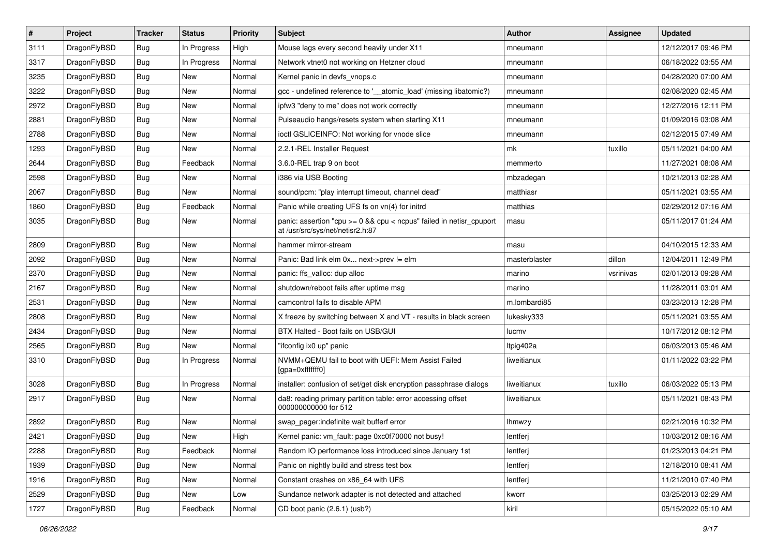| $\sharp$ | Project      | <b>Tracker</b> | <b>Status</b> | <b>Priority</b> | Subject                                                                                                 | Author        | Assignee  | <b>Updated</b>      |
|----------|--------------|----------------|---------------|-----------------|---------------------------------------------------------------------------------------------------------|---------------|-----------|---------------------|
| 3111     | DragonFlyBSD | <b>Bug</b>     | In Progress   | High            | Mouse lags every second heavily under X11                                                               | mneumann      |           | 12/12/2017 09:46 PM |
| 3317     | DragonFlyBSD | <b>Bug</b>     | In Progress   | Normal          | Network vtnet0 not working on Hetzner cloud                                                             | mneumann      |           | 06/18/2022 03:55 AM |
| 3235     | DragonFlyBSD | <b>Bug</b>     | New           | Normal          | Kernel panic in devfs vnops.c                                                                           | mneumann      |           | 04/28/2020 07:00 AM |
| 3222     | DragonFlyBSD | <b>Bug</b>     | New           | Normal          | gcc - undefined reference to '__atomic_load' (missing libatomic?)                                       | mneumann      |           | 02/08/2020 02:45 AM |
| 2972     | DragonFlyBSD | <b>Bug</b>     | <b>New</b>    | Normal          | ipfw3 "deny to me" does not work correctly                                                              | mneumann      |           | 12/27/2016 12:11 PM |
| 2881     | DragonFlyBSD | <b>Bug</b>     | <b>New</b>    | Normal          | Pulseaudio hangs/resets system when starting X11                                                        | mneumann      |           | 01/09/2016 03:08 AM |
| 2788     | DragonFlyBSD | <b>Bug</b>     | <b>New</b>    | Normal          | ioctl GSLICEINFO: Not working for vnode slice                                                           | mneumann      |           | 02/12/2015 07:49 AM |
| 1293     | DragonFlyBSD | <b>Bug</b>     | New           | Normal          | 2.2.1-REL Installer Request                                                                             | mk            | tuxillo   | 05/11/2021 04:00 AM |
| 2644     | DragonFlyBSD | <b>Bug</b>     | Feedback      | Normal          | 3.6.0-REL trap 9 on boot                                                                                | memmerto      |           | 11/27/2021 08:08 AM |
| 2598     | DragonFlyBSD | <b>Bug</b>     | New           | Normal          | i386 via USB Booting                                                                                    | mbzadegan     |           | 10/21/2013 02:28 AM |
| 2067     | DragonFlyBSD | <b>Bug</b>     | New           | Normal          | sound/pcm: "play interrupt timeout, channel dead"                                                       | matthiasr     |           | 05/11/2021 03:55 AM |
| 1860     | DragonFlyBSD | <b>Bug</b>     | Feedback      | Normal          | Panic while creating UFS fs on vn(4) for initrd                                                         | matthias      |           | 02/29/2012 07:16 AM |
| 3035     | DragonFlyBSD | <b>Bug</b>     | New           | Normal          | panic: assertion "cpu >= 0 && cpu < ncpus" failed in netisr_cpuport<br>at /usr/src/sys/net/netisr2.h:87 | masu          |           | 05/11/2017 01:24 AM |
| 2809     | DragonFlyBSD | <b>Bug</b>     | New           | Normal          | hammer mirror-stream                                                                                    | masu          |           | 04/10/2015 12:33 AM |
| 2092     | DragonFlyBSD | <b>Bug</b>     | New           | Normal          | Panic: Bad link elm 0x next->prev != elm                                                                | masterblaster | dillon    | 12/04/2011 12:49 PM |
| 2370     | DragonFlyBSD | <b>Bug</b>     | New           | Normal          | panic: ffs_valloc: dup alloc                                                                            | marino        | vsrinivas | 02/01/2013 09:28 AM |
| 2167     | DragonFlyBSD | <b>Bug</b>     | <b>New</b>    | Normal          | shutdown/reboot fails after uptime msg                                                                  | marino        |           | 11/28/2011 03:01 AM |
| 2531     | DragonFlyBSD | <b>Bug</b>     | New           | Normal          | camcontrol fails to disable APM                                                                         | m.lombardi85  |           | 03/23/2013 12:28 PM |
| 2808     | DragonFlyBSD | <b>Bug</b>     | <b>New</b>    | Normal          | X freeze by switching between X and VT - results in black screen                                        | lukesky333    |           | 05/11/2021 03:55 AM |
| 2434     | DragonFlyBSD | <b>Bug</b>     | New           | Normal          | BTX Halted - Boot fails on USB/GUI                                                                      | lucmv         |           | 10/17/2012 08:12 PM |
| 2565     | DragonFlyBSD | <b>Bug</b>     | New           | Normal          | "ifconfig ix0 up" panic                                                                                 | ltpig402a     |           | 06/03/2013 05:46 AM |
| 3310     | DragonFlyBSD | <b>Bug</b>     | In Progress   | Normal          | NVMM+QEMU fail to boot with UEFI: Mem Assist Failed<br>[gpa=0xfffffff0]                                 | liweitianux   |           | 01/11/2022 03:22 PM |
| 3028     | DragonFlyBSD | <b>Bug</b>     | In Progress   | Normal          | installer: confusion of set/get disk encryption passphrase dialogs                                      | liweitianux   | tuxillo   | 06/03/2022 05:13 PM |
| 2917     | DragonFlyBSD | <b>Bug</b>     | New           | Normal          | da8: reading primary partition table: error accessing offset<br>000000000000 for 512                    | liweitianux   |           | 05/11/2021 08:43 PM |
| 2892     | DragonFlyBSD | <b>Bug</b>     | New           | Normal          | swap_pager:indefinite wait bufferf error                                                                | lhmwzy        |           | 02/21/2016 10:32 PM |
| 2421     | DragonFlyBSD | Bug            | <b>New</b>    | High            | Kernel panic: vm_fault: page 0xc0f70000 not busy!                                                       | lentferj      |           | 10/03/2012 08:16 AM |
| 2288     | DragonFlyBSD | <b>Bug</b>     | Feedback      | Normal          | Random IO performance loss introduced since January 1st                                                 | lentferj      |           | 01/23/2013 04:21 PM |
| 1939     | DragonFlyBSD | Bug            | <b>New</b>    | Normal          | Panic on nightly build and stress test box                                                              | lentferj      |           | 12/18/2010 08:41 AM |
| 1916     | DragonFlyBSD | Bug            | New           | Normal          | Constant crashes on x86_64 with UFS                                                                     | lentferj      |           | 11/21/2010 07:40 PM |
| 2529     | DragonFlyBSD | Bug            | New           | Low             | Sundance network adapter is not detected and attached                                                   | kworr         |           | 03/25/2013 02:29 AM |
| 1727     | DragonFlyBSD | <b>Bug</b>     | Feedback      | Normal          | CD boot panic (2.6.1) (usb?)                                                                            | kiril         |           | 05/15/2022 05:10 AM |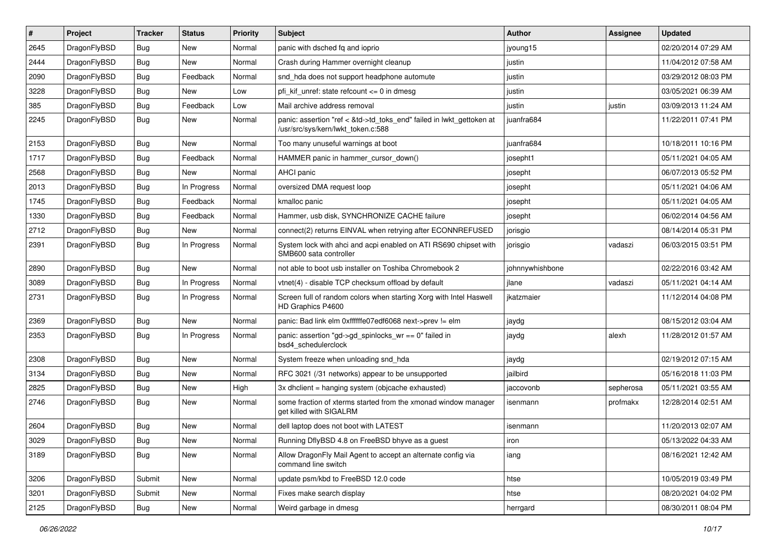| ∦    | Project      | <b>Tracker</b> | <b>Status</b> | <b>Priority</b> | Subject                                                                                                    | Author          | <b>Assignee</b> | <b>Updated</b>      |
|------|--------------|----------------|---------------|-----------------|------------------------------------------------------------------------------------------------------------|-----------------|-----------------|---------------------|
| 2645 | DragonFlyBSD | <b>Bug</b>     | New           | Normal          | panic with dsched fq and ioprio                                                                            | jyoung15        |                 | 02/20/2014 07:29 AM |
| 2444 | DragonFlyBSD | <b>Bug</b>     | <b>New</b>    | Normal          | Crash during Hammer overnight cleanup                                                                      | justin          |                 | 11/04/2012 07:58 AM |
| 2090 | DragonFlyBSD | Bug            | Feedback      | Normal          | snd_hda does not support headphone automute                                                                | justin          |                 | 03/29/2012 08:03 PM |
| 3228 | DragonFlyBSD | Bug            | New           | Low             | pfi kif unref: state refcount $\leq$ 0 in dmesq                                                            | justin          |                 | 03/05/2021 06:39 AM |
| 385  | DragonFlyBSD | <b>Bug</b>     | Feedback      | Low             | Mail archive address removal                                                                               | justin          | justin          | 03/09/2013 11:24 AM |
| 2245 | DragonFlyBSD | Bug            | New           | Normal          | panic: assertion "ref < &td->td toks end" failed in lwkt gettoken at<br>/usr/src/sys/kern/lwkt_token.c:588 | juanfra684      |                 | 11/22/2011 07:41 PM |
| 2153 | DragonFlyBSD | Bug            | New           | Normal          | Too many unuseful warnings at boot                                                                         | juanfra684      |                 | 10/18/2011 10:16 PM |
| 1717 | DragonFlyBSD | <b>Bug</b>     | Feedback      | Normal          | HAMMER panic in hammer cursor down()                                                                       | josepht1        |                 | 05/11/2021 04:05 AM |
| 2568 | DragonFlyBSD | <b>Bug</b>     | New           | Normal          | AHCI panic                                                                                                 | josepht         |                 | 06/07/2013 05:52 PM |
| 2013 | DragonFlyBSD | <b>Bug</b>     | In Progress   | Normal          | oversized DMA request loop                                                                                 | josepht         |                 | 05/11/2021 04:06 AM |
| 1745 | DragonFlyBSD | Bug            | Feedback      | Normal          | kmalloc panic                                                                                              | josepht         |                 | 05/11/2021 04:05 AM |
| 1330 | DragonFlyBSD | <b>Bug</b>     | Feedback      | Normal          | Hammer, usb disk, SYNCHRONIZE CACHE failure                                                                | josepht         |                 | 06/02/2014 04:56 AM |
| 2712 | DragonFlyBSD | <b>Bug</b>     | New           | Normal          | connect(2) returns EINVAL when retrying after ECONNREFUSED                                                 | jorisgio        |                 | 08/14/2014 05:31 PM |
| 2391 | DragonFlyBSD | Bug            | In Progress   | Normal          | System lock with ahci and acpi enabled on ATI RS690 chipset with<br>SMB600 sata controller                 | jorisgio        | vadaszi         | 06/03/2015 03:51 PM |
| 2890 | DragonFlyBSD | Bug            | New           | Normal          | not able to boot usb installer on Toshiba Chromebook 2                                                     | johnnywhishbone |                 | 02/22/2016 03:42 AM |
| 3089 | DragonFlyBSD | <b>Bug</b>     | In Progress   | Normal          | vtnet(4) - disable TCP checksum offload by default                                                         | ilane           | vadaszi         | 05/11/2021 04:14 AM |
| 2731 | DragonFlyBSD | <b>Bug</b>     | In Progress   | Normal          | Screen full of random colors when starting Xorg with Intel Haswell<br>HD Graphics P4600                    | ikatzmaier      |                 | 11/12/2014 04:08 PM |
| 2369 | DragonFlyBSD | Bug            | New           | Normal          | panic: Bad link elm 0xffffffe07edf6068 next->prev != elm                                                   | jaydg           |                 | 08/15/2012 03:04 AM |
| 2353 | DragonFlyBSD | <b>Bug</b>     | In Progress   | Normal          | panic: assertion "gd->gd_spinlocks_wr == 0" failed in<br>bsd4_schedulerclock                               | jaydg           | alexh           | 11/28/2012 01:57 AM |
| 2308 | DragonFlyBSD | <b>Bug</b>     | New           | Normal          | System freeze when unloading snd hda                                                                       | jaydg           |                 | 02/19/2012 07:15 AM |
| 3134 | DragonFlyBSD | Bug            | New           | Normal          | RFC 3021 (/31 networks) appear to be unsupported                                                           | jailbird        |                 | 05/16/2018 11:03 PM |
| 2825 | DragonFlyBSD | Bug            | <b>New</b>    | High            | 3x dhclient = hanging system (objcache exhausted)                                                          | jaccovonb       | sepherosa       | 05/11/2021 03:55 AM |
| 2746 | DragonFlyBSD | Bug            | New           | Normal          | some fraction of xterms started from the xmonad window manager<br>get killed with SIGALRM                  | isenmann        | profmakx        | 12/28/2014 02:51 AM |
| 2604 | DragonFlyBSD | Bug            | New           | Normal          | dell laptop does not boot with LATEST                                                                      | isenmann        |                 | 11/20/2013 02:07 AM |
| 3029 | DragonFlyBSD | Bug            | New           | Normal          | Running DflyBSD 4.8 on FreeBSD bhyve as a guest                                                            | ıron            |                 | 05/13/2022 04:33 AM |
| 3189 | DragonFlyBSD | <b>Bug</b>     | New           | Normal          | Allow DragonFly Mail Agent to accept an alternate config via<br>command line switch                        | iang            |                 | 08/16/2021 12:42 AM |
| 3206 | DragonFlyBSD | Submit         | New           | Normal          | update psm/kbd to FreeBSD 12.0 code                                                                        | htse            |                 | 10/05/2019 03:49 PM |
| 3201 | DragonFlyBSD | Submit         | New           | Normal          | Fixes make search display                                                                                  | htse            |                 | 08/20/2021 04:02 PM |
| 2125 | DragonFlyBSD | Bug            | New           | Normal          | Weird garbage in dmesg                                                                                     | herrgard        |                 | 08/30/2011 08:04 PM |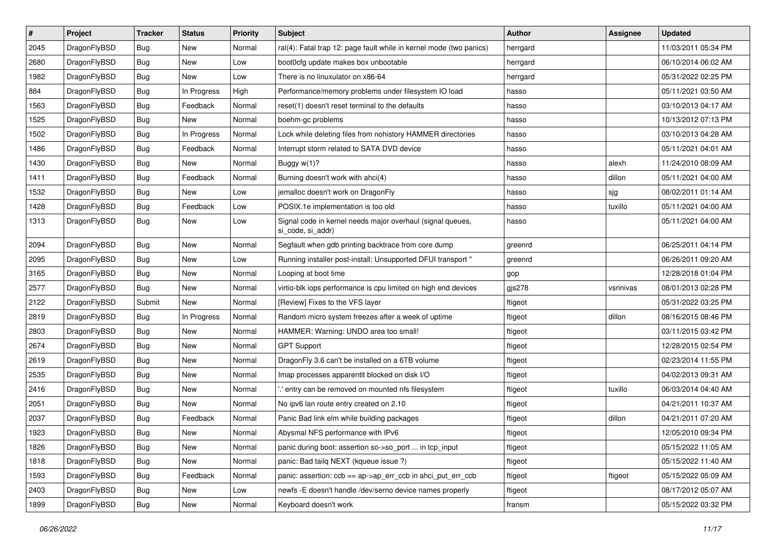| $\sharp$ | Project      | <b>Tracker</b> | <b>Status</b> | <b>Priority</b> | Subject                                                                         | Author   | Assignee  | <b>Updated</b>      |
|----------|--------------|----------------|---------------|-----------------|---------------------------------------------------------------------------------|----------|-----------|---------------------|
| 2045     | DragonFlyBSD | Bug            | New           | Normal          | ral(4): Fatal trap 12: page fault while in kernel mode (two panics)             | herrgard |           | 11/03/2011 05:34 PM |
| 2680     | DragonFlyBSD | Bug            | New           | Low             | boot0cfg update makes box unbootable                                            | herrgard |           | 06/10/2014 06:02 AM |
| 1982     | DragonFlyBSD | <b>Bug</b>     | <b>New</b>    | Low             | There is no linuxulator on x86-64                                               | herrgard |           | 05/31/2022 02:25 PM |
| 884      | DragonFlyBSD | Bug            | In Progress   | High            | Performance/memory problems under filesystem IO load                            | hasso    |           | 05/11/2021 03:50 AM |
| 1563     | DragonFlyBSD | Bug            | Feedback      | Normal          | reset(1) doesn't reset terminal to the defaults                                 | hasso    |           | 03/10/2013 04:17 AM |
| 1525     | DragonFlyBSD | <b>Bug</b>     | <b>New</b>    | Normal          | boehm-gc problems                                                               | hasso    |           | 10/13/2012 07:13 PM |
| 1502     | DragonFlyBSD | Bug            | In Progress   | Normal          | Lock while deleting files from nohistory HAMMER directories                     | hasso    |           | 03/10/2013 04:28 AM |
| 1486     | DragonFlyBSD | <b>Bug</b>     | Feedback      | Normal          | Interrupt storm related to SATA DVD device                                      | hasso    |           | 05/11/2021 04:01 AM |
| 1430     | DragonFlyBSD | <b>Bug</b>     | <b>New</b>    | Normal          | Buggy w(1)?                                                                     | hasso    | alexh     | 11/24/2010 08:09 AM |
| 1411     | DragonFlyBSD | Bug            | Feedback      | Normal          | Burning doesn't work with ahci(4)                                               | hasso    | dillon    | 05/11/2021 04:00 AM |
| 1532     | DragonFlyBSD | Bug            | New           | Low             | jemalloc doesn't work on DragonFly                                              | hasso    | sjg       | 08/02/2011 01:14 AM |
| 1428     | DragonFlyBSD | Bug            | Feedback      | Low             | POSIX.1e implementation is too old                                              | hasso    | tuxillo   | 05/11/2021 04:00 AM |
| 1313     | DragonFlyBSD | Bug            | <b>New</b>    | Low             | Signal code in kernel needs major overhaul (signal queues,<br>si_code, si_addr) | hasso    |           | 05/11/2021 04:00 AM |
| 2094     | DragonFlyBSD | Bug            | New           | Normal          | Segfault when gdb printing backtrace from core dump                             | greenrd  |           | 06/25/2011 04:14 PM |
| 2095     | DragonFlyBSD | Bug            | <b>New</b>    | Low             | Running installer post-install: Unsupported DFUI transport "                    | greenrd  |           | 06/26/2011 09:20 AM |
| 3165     | DragonFlyBSD | Bug            | New           | Normal          | Looping at boot time                                                            | gop      |           | 12/28/2018 01:04 PM |
| 2577     | DragonFlyBSD | Bug            | New           | Normal          | virtio-blk iops performance is cpu limited on high end devices                  | gjs278   | vsrinivas | 08/01/2013 02:28 PM |
| 2122     | DragonFlyBSD | Submit         | <b>New</b>    | Normal          | [Review] Fixes to the VFS layer                                                 | ftigeot  |           | 05/31/2022 03:25 PM |
| 2819     | DragonFlyBSD | Bug            | In Progress   | Normal          | Random micro system freezes after a week of uptime                              | ftigeot  | dillon    | 08/16/2015 08:46 PM |
| 2803     | DragonFlyBSD | Bug            | New           | Normal          | HAMMER: Warning: UNDO area too small!                                           | ftigeot  |           | 03/11/2015 03:42 PM |
| 2674     | DragonFlyBSD | <b>Bug</b>     | <b>New</b>    | Normal          | <b>GPT Support</b>                                                              | ftigeot  |           | 12/28/2015 02:54 PM |
| 2619     | DragonFlyBSD | Bug            | <b>New</b>    | Normal          | Dragon Fly 3.6 can't be installed on a 6TB volume                               | ftigeot  |           | 02/23/2014 11:55 PM |
| 2535     | DragonFlyBSD | <b>Bug</b>     | New           | Normal          | Imap processes apparentlt blocked on disk I/O                                   | ftigeot  |           | 04/02/2013 09:31 AM |
| 2416     | DragonFlyBSD | Bug            | New           | Normal          | ".' entry can be removed on mounted nfs filesystem                              | ftigeot  | tuxillo   | 06/03/2014 04:40 AM |
| 2051     | DragonFlyBSD | <b>Bug</b>     | New           | Normal          | No ipv6 lan route entry created on 2.10                                         | ftigeot  |           | 04/21/2011 10:37 AM |
| 2037     | DragonFlyBSD | Bug            | Feedback      | Normal          | Panic Bad link elm while building packages                                      | ftigeot  | dillon    | 04/21/2011 07:20 AM |
| 1923     | DragonFlyBSD | <b>Bug</b>     | <b>New</b>    | Normal          | Abysmal NFS performance with IPv6                                               | ftigeot  |           | 12/05/2010 09:34 PM |
| 1826     | DragonFlyBSD | <b>Bug</b>     | New           | Normal          | panic during boot: assertion so->so_port  in tcp_input                          | ftigeot  |           | 05/15/2022 11:05 AM |
| 1818     | DragonFlyBSD | <b>Bug</b>     | New           | Normal          | panic: Bad tailq NEXT (kqueue issue ?)                                          | ftigeot  |           | 05/15/2022 11:40 AM |
| 1593     | DragonFlyBSD | <b>Bug</b>     | Feedback      | Normal          | panic: assertion: ccb == ap->ap_err_ccb in ahci_put_err_ccb                     | ftigeot  | ftigeot   | 05/15/2022 05:09 AM |
| 2403     | DragonFlyBSD | <b>Bug</b>     | New           | Low             | newfs - E doesn't handle /dev/serno device names properly                       | ftigeot  |           | 08/17/2012 05:07 AM |
| 1899     | DragonFlyBSD | Bug            | New           | Normal          | Keyboard doesn't work                                                           | fransm   |           | 05/15/2022 03:32 PM |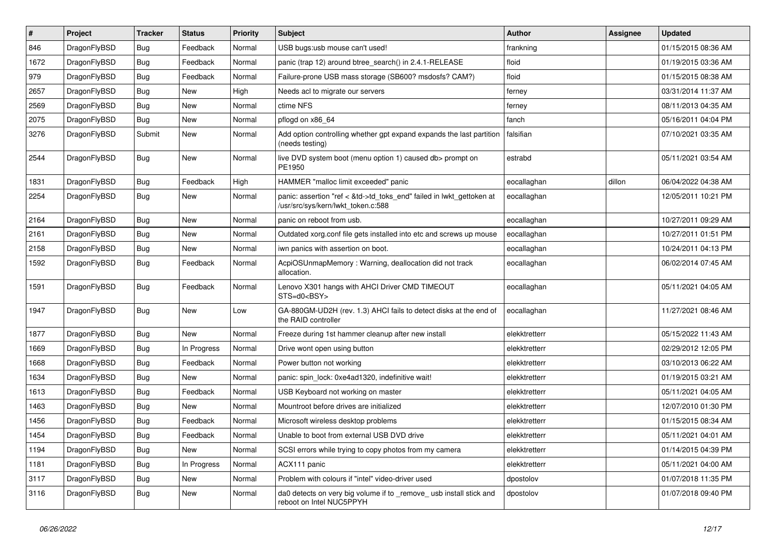| $\vert$ # | Project      | <b>Tracker</b> | <b>Status</b> | <b>Priority</b> | <b>Subject</b>                                                                                             | Author        | <b>Assignee</b> | <b>Updated</b>      |
|-----------|--------------|----------------|---------------|-----------------|------------------------------------------------------------------------------------------------------------|---------------|-----------------|---------------------|
| 846       | DragonFlyBSD | <b>Bug</b>     | Feedback      | Normal          | USB bugs:usb mouse can't used!                                                                             | frankning     |                 | 01/15/2015 08:36 AM |
| 1672      | DragonFlyBSD | <b>Bug</b>     | Feedback      | Normal          | panic (trap 12) around btree_search() in 2.4.1-RELEASE                                                     | floid         |                 | 01/19/2015 03:36 AM |
| 979       | DragonFlyBSD | <b>Bug</b>     | Feedback      | Normal          | Failure-prone USB mass storage (SB600? msdosfs? CAM?)                                                      | floid         |                 | 01/15/2015 08:38 AM |
| 2657      | DragonFlyBSD | Bug            | <b>New</b>    | High            | Needs acl to migrate our servers                                                                           | ferney        |                 | 03/31/2014 11:37 AM |
| 2569      | DragonFlyBSD | <b>Bug</b>     | <b>New</b>    | Normal          | ctime NFS                                                                                                  | ferney        |                 | 08/11/2013 04:35 AM |
| 2075      | DragonFlyBSD | Bug            | <b>New</b>    | Normal          | pflogd on x86 64                                                                                           | fanch         |                 | 05/16/2011 04:04 PM |
| 3276      | DragonFlyBSD | Submit         | <b>New</b>    | Normal          | Add option controlling whether gpt expand expands the last partition<br>(needs testing)                    | falsifian     |                 | 07/10/2021 03:35 AM |
| 2544      | DragonFlyBSD | Bug            | <b>New</b>    | Normal          | live DVD system boot (menu option 1) caused db> prompt on<br>PE1950                                        | estrabd       |                 | 05/11/2021 03:54 AM |
| 1831      | DragonFlyBSD | <b>Bug</b>     | Feedback      | High            | HAMMER "malloc limit exceeded" panic                                                                       | eocallaghan   | dillon          | 06/04/2022 04:38 AM |
| 2254      | DragonFlyBSD | Bug            | New           | Normal          | panic: assertion "ref < &td->td_toks_end" failed in lwkt_gettoken at<br>/usr/src/sys/kern/lwkt_token.c:588 | eocallaghan   |                 | 12/05/2011 10:21 PM |
| 2164      | DragonFlyBSD | Bug            | <b>New</b>    | Normal          | panic on reboot from usb.                                                                                  | eocallaghan   |                 | 10/27/2011 09:29 AM |
| 2161      | DragonFlyBSD | Bug            | <b>New</b>    | Normal          | Outdated xorg.conf file gets installed into etc and screws up mouse                                        | eocallaghan   |                 | 10/27/2011 01:51 PM |
| 2158      | DragonFlyBSD | <b>Bug</b>     | New           | Normal          | iwn panics with assertion on boot.                                                                         | eocallaghan   |                 | 10/24/2011 04:13 PM |
| 1592      | DragonFlyBSD | Bug            | Feedback      | Normal          | AcpiOSUnmapMemory: Warning, deallocation did not track<br>allocation.                                      | eocallaghan   |                 | 06/02/2014 07:45 AM |
| 1591      | DragonFlyBSD | <b>Bug</b>     | Feedback      | Normal          | Lenovo X301 hangs with AHCI Driver CMD TIMEOUT<br>STS=d0 <bsy></bsy>                                       | eocallaghan   |                 | 05/11/2021 04:05 AM |
| 1947      | DragonFlyBSD | <b>Bug</b>     | <b>New</b>    | Low             | GA-880GM-UD2H (rev. 1.3) AHCI fails to detect disks at the end of<br>the RAID controller                   | eocallaghan   |                 | 11/27/2021 08:46 AM |
| 1877      | DragonFlyBSD | Bug            | <b>New</b>    | Normal          | Freeze during 1st hammer cleanup after new install                                                         | elekktretterr |                 | 05/15/2022 11:43 AM |
| 1669      | DragonFlyBSD | <b>Bug</b>     | In Progress   | Normal          | Drive wont open using button                                                                               | elekktretterr |                 | 02/29/2012 12:05 PM |
| 1668      | DragonFlyBSD | <b>Bug</b>     | Feedback      | Normal          | Power button not working                                                                                   | elekktretterr |                 | 03/10/2013 06:22 AM |
| 1634      | DragonFlyBSD | Bug            | New           | Normal          | panic: spin_lock: 0xe4ad1320, indefinitive wait!                                                           | elekktretterr |                 | 01/19/2015 03:21 AM |
| 1613      | DragonFlyBSD | <b>Bug</b>     | Feedback      | Normal          | USB Keyboard not working on master                                                                         | elekktretterr |                 | 05/11/2021 04:05 AM |
| 1463      | DragonFlyBSD | Bug            | <b>New</b>    | Normal          | Mountroot before drives are initialized                                                                    | elekktretterr |                 | 12/07/2010 01:30 PM |
| 1456      | DragonFlyBSD | Bug            | Feedback      | Normal          | Microsoft wireless desktop problems                                                                        | elekktretterr |                 | 01/15/2015 08:34 AM |
| 1454      | DragonFlyBSD | Bug            | Feedback      | Normal          | Unable to boot from external USB DVD drive                                                                 | elekktretterr |                 | 05/11/2021 04:01 AM |
| 1194      | DragonFlyBSD | Bug            | New           | Normal          | SCSI errors while trying to copy photos from my camera                                                     | elekktretterr |                 | 01/14/2015 04:39 PM |
| 1181      | DragonFlyBSD | <b>Bug</b>     | In Progress   | Normal          | ACX111 panic                                                                                               | elekktretterr |                 | 05/11/2021 04:00 AM |
| 3117      | DragonFlyBSD | <b>Bug</b>     | New           | Normal          | Problem with colours if "intel" video-driver used                                                          | dpostolov     |                 | 01/07/2018 11:35 PM |
| 3116      | DragonFlyBSD | <b>Bug</b>     | New           | Normal          | da0 detects on very big volume if to _remove_ usb install stick and<br>reboot on Intel NUC5PPYH            | dpostolov     |                 | 01/07/2018 09:40 PM |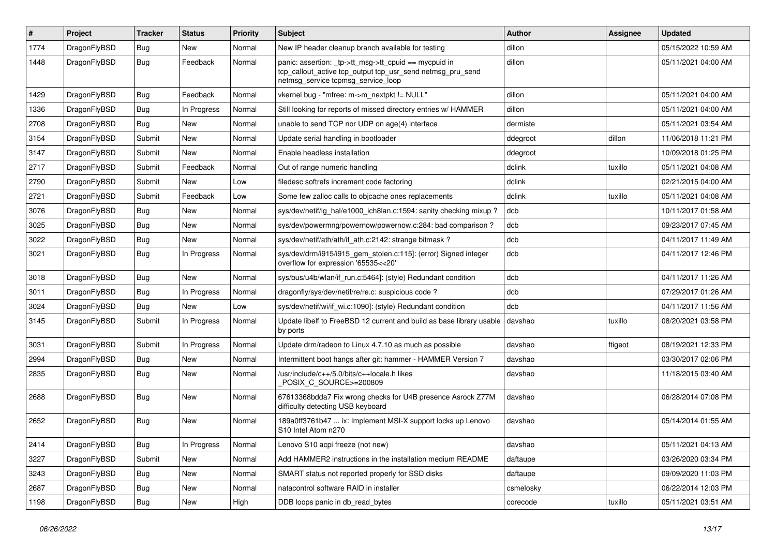| $\pmb{\#}$ | Project      | <b>Tracker</b> | <b>Status</b> | <b>Priority</b> | Subject                                                                                                                                                   | Author    | <b>Assignee</b> | <b>Updated</b>      |
|------------|--------------|----------------|---------------|-----------------|-----------------------------------------------------------------------------------------------------------------------------------------------------------|-----------|-----------------|---------------------|
| 1774       | DragonFlyBSD | Bug            | New           | Normal          | New IP header cleanup branch available for testing                                                                                                        | dillon    |                 | 05/15/2022 10:59 AM |
| 1448       | DragonFlyBSD | Bug            | Feedback      | Normal          | panic: assertion: _tp->tt_msg->tt_cpuid == mycpuid in<br>tcp_callout_active tcp_output tcp_usr_send netmsg_pru_send<br>netmsg_service tcpmsg_service_loop | dillon    |                 | 05/11/2021 04:00 AM |
| 1429       | DragonFlyBSD | <b>Bug</b>     | Feedback      | Normal          | vkernel bug - "mfree: m->m_nextpkt != NULL"                                                                                                               | dillon    |                 | 05/11/2021 04:00 AM |
| 1336       | DragonFlyBSD | Bug            | In Progress   | Normal          | Still looking for reports of missed directory entries w/ HAMMER                                                                                           | dillon    |                 | 05/11/2021 04:00 AM |
| 2708       | DragonFlyBSD | Bug            | <b>New</b>    | Normal          | unable to send TCP nor UDP on age(4) interface                                                                                                            | dermiste  |                 | 05/11/2021 03:54 AM |
| 3154       | DragonFlyBSD | Submit         | New           | Normal          | Update serial handling in bootloader                                                                                                                      | ddegroot  | dillon          | 11/06/2018 11:21 PM |
| 3147       | DragonFlyBSD | Submit         | New           | Normal          | Enable headless installation                                                                                                                              | ddegroot  |                 | 10/09/2018 01:25 PM |
| 2717       | DragonFlyBSD | Submit         | Feedback      | Normal          | Out of range numeric handling                                                                                                                             | dclink    | tuxillo         | 05/11/2021 04:08 AM |
| 2790       | DragonFlyBSD | Submit         | New           | Low             | filedesc softrefs increment code factoring                                                                                                                | dclink    |                 | 02/21/2015 04:00 AM |
| 2721       | DragonFlyBSD | Submit         | Feedback      | Low             | Some few zalloc calls to objcache ones replacements                                                                                                       | dclink    | tuxillo         | 05/11/2021 04:08 AM |
| 3076       | DragonFlyBSD | Bug            | New           | Normal          | sys/dev/netif/ig hal/e1000 ich8lan.c:1594: sanity checking mixup?                                                                                         | dcb       |                 | 10/11/2017 01:58 AM |
| 3025       | DragonFlyBSD | Bug            | <b>New</b>    | Normal          | sys/dev/powermng/powernow/powernow.c:284: bad comparison?                                                                                                 | dcb       |                 | 09/23/2017 07:45 AM |
| 3022       | DragonFlyBSD | Bug            | New           | Normal          | sys/dev/netif/ath/ath/if ath.c:2142: strange bitmask?                                                                                                     | dcb       |                 | 04/11/2017 11:49 AM |
| 3021       | DragonFlyBSD | Bug            | In Progress   | Normal          | sys/dev/drm/i915/i915_gem_stolen.c:115]: (error) Signed integer<br>overflow for expression '65535<<20'                                                    | dcb       |                 | 04/11/2017 12:46 PM |
| 3018       | DragonFlyBSD | Bug            | <b>New</b>    | Normal          | sys/bus/u4b/wlan/if_run.c:5464]: (style) Redundant condition                                                                                              | dcb       |                 | 04/11/2017 11:26 AM |
| 3011       | DragonFlyBSD | <b>Bug</b>     | In Progress   | Normal          | dragonfly/sys/dev/netif/re/re.c: suspicious code?                                                                                                         | dcb       |                 | 07/29/2017 01:26 AM |
| 3024       | DragonFlyBSD | Bug            | <b>New</b>    | Low             | sys/dev/netif/wi/if_wi.c:1090]: (style) Redundant condition                                                                                               | dcb       |                 | 04/11/2017 11:56 AM |
| 3145       | DragonFlyBSD | Submit         | In Progress   | Normal          | Update libelf to FreeBSD 12 current and build as base library usable<br>by ports                                                                          | davshao   | tuxillo         | 08/20/2021 03:58 PM |
| 3031       | DragonFlyBSD | Submit         | In Progress   | Normal          | Update drm/radeon to Linux 4.7.10 as much as possible                                                                                                     | davshao   | ftigeot         | 08/19/2021 12:33 PM |
| 2994       | DragonFlyBSD | Bug            | New           | Normal          | Intermittent boot hangs after git: hammer - HAMMER Version 7                                                                                              | davshao   |                 | 03/30/2017 02:06 PM |
| 2835       | DragonFlyBSD | Bug            | New           | Normal          | /usr/include/c++/5.0/bits/c++locale.h likes<br>POSIX_C_SOURCE>=200809                                                                                     | davshao   |                 | 11/18/2015 03:40 AM |
| 2688       | DragonFlyBSD | Bug            | New           | Normal          | 67613368bdda7 Fix wrong checks for U4B presence Asrock Z77M<br>difficulty detecting USB keyboard                                                          | davshao   |                 | 06/28/2014 07:08 PM |
| 2652       | DragonFlyBSD | Bug            | New           | Normal          | 189a0ff3761b47  ix: Implement MSI-X support locks up Lenovo<br>S10 Intel Atom n270                                                                        | davshao   |                 | 05/14/2014 01:55 AM |
| 2414       | DragonFlyBSD | Bug            | In Progress   | Normal          | Lenovo S10 acpi freeze (not new)                                                                                                                          | davshao   |                 | 05/11/2021 04:13 AM |
| 3227       | DragonFlyBSD | Submit         | New           | Normal          | Add HAMMER2 instructions in the installation medium README                                                                                                | daftaupe  |                 | 03/26/2020 03:34 PM |
| 3243       | DragonFlyBSD | <b>Bug</b>     | New           | Normal          | SMART status not reported properly for SSD disks                                                                                                          | daftaupe  |                 | 09/09/2020 11:03 PM |
| 2687       | DragonFlyBSD | Bug            | New           | Normal          | natacontrol software RAID in installer                                                                                                                    | csmelosky |                 | 06/22/2014 12:03 PM |
| 1198       | DragonFlyBSD | <b>Bug</b>     | New           | High            | DDB loops panic in db_read_bytes                                                                                                                          | corecode  | tuxillo         | 05/11/2021 03:51 AM |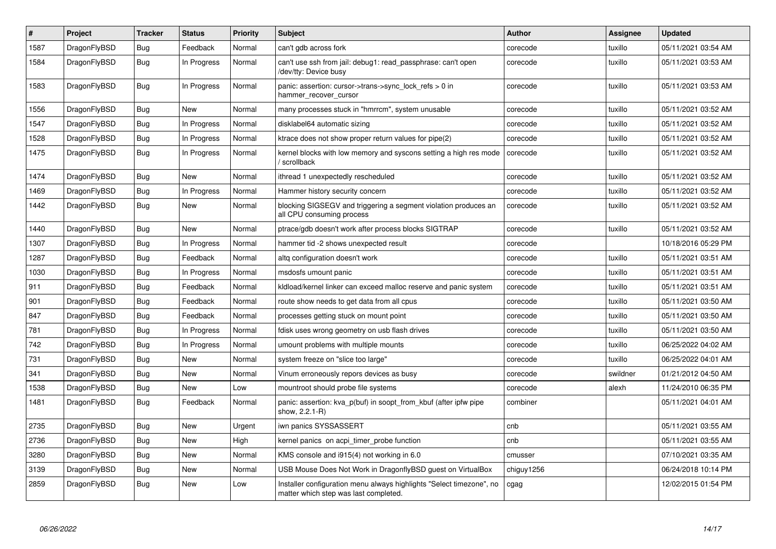| $\vert$ # | Project      | <b>Tracker</b> | <b>Status</b> | <b>Priority</b> | <b>Subject</b>                                                                                                | <b>Author</b> | Assignee | <b>Updated</b>      |
|-----------|--------------|----------------|---------------|-----------------|---------------------------------------------------------------------------------------------------------------|---------------|----------|---------------------|
| 1587      | DragonFlyBSD | Bug            | Feedback      | Normal          | can't gdb across fork                                                                                         | corecode      | tuxillo  | 05/11/2021 03:54 AM |
| 1584      | DragonFlyBSD | <b>Bug</b>     | In Progress   | Normal          | can't use ssh from jail: debug1: read_passphrase: can't open<br>/dev/tty: Device busy                         | corecode      | tuxillo  | 05/11/2021 03:53 AM |
| 1583      | DragonFlyBSD | <b>Bug</b>     | In Progress   | Normal          | panic: assertion: cursor->trans->sync_lock_refs > 0 in<br>hammer_recover_cursor                               | corecode      | tuxillo  | 05/11/2021 03:53 AM |
| 1556      | DragonFlyBSD | <b>Bug</b>     | <b>New</b>    | Normal          | many processes stuck in "hmrrcm", system unusable                                                             | corecode      | tuxillo  | 05/11/2021 03:52 AM |
| 1547      | DragonFlyBSD | Bug            | In Progress   | Normal          | disklabel64 automatic sizing                                                                                  | corecode      | tuxillo  | 05/11/2021 03:52 AM |
| 1528      | DragonFlyBSD | <b>Bug</b>     | In Progress   | Normal          | ktrace does not show proper return values for pipe(2)                                                         | corecode      | tuxillo  | 05/11/2021 03:52 AM |
| 1475      | DragonFlyBSD | <b>Bug</b>     | In Progress   | Normal          | kernel blocks with low memory and syscons setting a high res mode<br>' scrollback                             | corecode      | tuxillo  | 05/11/2021 03:52 AM |
| 1474      | DragonFlyBSD | <b>Bug</b>     | New           | Normal          | ithread 1 unexpectedly rescheduled                                                                            | corecode      | tuxillo  | 05/11/2021 03:52 AM |
| 1469      | DragonFlyBSD | Bug            | In Progress   | Normal          | Hammer history security concern                                                                               | corecode      | tuxillo  | 05/11/2021 03:52 AM |
| 1442      | DragonFlyBSD | <b>Bug</b>     | <b>New</b>    | Normal          | blocking SIGSEGV and triggering a segment violation produces an<br>all CPU consuming process                  | corecode      | tuxillo  | 05/11/2021 03:52 AM |
| 1440      | DragonFlyBSD | <b>Bug</b>     | <b>New</b>    | Normal          | ptrace/gdb doesn't work after process blocks SIGTRAP                                                          | corecode      | tuxillo  | 05/11/2021 03:52 AM |
| 1307      | DragonFlyBSD | <b>Bug</b>     | In Progress   | Normal          | hammer tid -2 shows unexpected result                                                                         | corecode      |          | 10/18/2016 05:29 PM |
| 1287      | DragonFlyBSD | Bug            | Feedback      | Normal          | altg configuration doesn't work                                                                               | corecode      | tuxillo  | 05/11/2021 03:51 AM |
| 1030      | DragonFlyBSD | <b>Bug</b>     | In Progress   | Normal          | msdosfs umount panic                                                                                          | corecode      | tuxillo  | 05/11/2021 03:51 AM |
| 911       | DragonFlyBSD | Bug            | Feedback      | Normal          | kldload/kernel linker can exceed malloc reserve and panic system                                              | corecode      | tuxillo  | 05/11/2021 03:51 AM |
| 901       | DragonFlyBSD | <b>Bug</b>     | Feedback      | Normal          | route show needs to get data from all cpus                                                                    | corecode      | tuxillo  | 05/11/2021 03:50 AM |
| 847       | DragonFlyBSD | Bug            | Feedback      | Normal          | processes getting stuck on mount point                                                                        | corecode      | tuxillo  | 05/11/2021 03:50 AM |
| 781       | DragonFlyBSD | Bug            | In Progress   | Normal          | fdisk uses wrong geometry on usb flash drives                                                                 | corecode      | tuxillo  | 05/11/2021 03:50 AM |
| 742       | DragonFlyBSD | Bug            | In Progress   | Normal          | umount problems with multiple mounts                                                                          | corecode      | tuxillo  | 06/25/2022 04:02 AM |
| 731       | DragonFlyBSD | Bug            | New           | Normal          | system freeze on "slice too large"                                                                            | corecode      | tuxillo  | 06/25/2022 04:01 AM |
| 341       | DragonFlyBSD | <b>Bug</b>     | New           | Normal          | Vinum erroneously repors devices as busy                                                                      | corecode      | swildner | 01/21/2012 04:50 AM |
| 1538      | DragonFlyBSD | Bug            | New           | Low             | mountroot should probe file systems                                                                           | corecode      | alexh    | 11/24/2010 06:35 PM |
| 1481      | DragonFlyBSD | <b>Bug</b>     | Feedback      | Normal          | panic: assertion: kva_p(buf) in soopt_from_kbuf (after ipfw pipe<br>show, 2.2.1-R)                            | combiner      |          | 05/11/2021 04:01 AM |
| 2735      | DragonFlyBSD | <b>Bug</b>     | <b>New</b>    | Urgent          | iwn panics SYSSASSERT                                                                                         | cnb           |          | 05/11/2021 03:55 AM |
| 2736      | DragonFlyBSD | <b>Bug</b>     | New           | High            | kernel panics on acpi timer probe function                                                                    | cnb           |          | 05/11/2021 03:55 AM |
| 3280      | DragonFlyBSD | <b>Bug</b>     | New           | Normal          | KMS console and i915(4) not working in 6.0                                                                    | cmusser       |          | 07/10/2021 03:35 AM |
| 3139      | DragonFlyBSD | <b>Bug</b>     | New           | Normal          | USB Mouse Does Not Work in DragonflyBSD guest on VirtualBox                                                   | chiguy1256    |          | 06/24/2018 10:14 PM |
| 2859      | DragonFlyBSD | <b>Bug</b>     | <b>New</b>    | Low             | Installer configuration menu always highlights "Select timezone", no<br>matter which step was last completed. | cgag          |          | 12/02/2015 01:54 PM |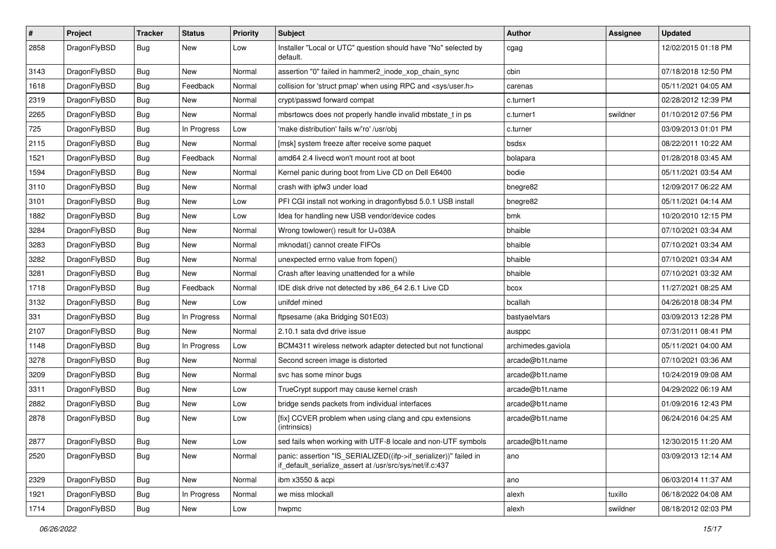| $\vert$ # | Project      | <b>Tracker</b> | <b>Status</b> | <b>Priority</b> | <b>Subject</b>                                                                                                               | Author             | Assignee | <b>Updated</b>      |
|-----------|--------------|----------------|---------------|-----------------|------------------------------------------------------------------------------------------------------------------------------|--------------------|----------|---------------------|
| 2858      | DragonFlyBSD | Bug            | New           | Low             | Installer "Local or UTC" question should have "No" selected by<br>default.                                                   | cgag               |          | 12/02/2015 01:18 PM |
| 3143      | DragonFlyBSD | <b>Bug</b>     | New           | Normal          | assertion "0" failed in hammer2 inode xop chain sync                                                                         | cbin               |          | 07/18/2018 12:50 PM |
| 1618      | DragonFlyBSD | Bug            | Feedback      | Normal          | collision for 'struct pmap' when using RPC and <sys user.h=""></sys>                                                         | carenas            |          | 05/11/2021 04:05 AM |
| 2319      | DragonFlyBSD | Bug            | <b>New</b>    | Normal          | crypt/passwd forward compat                                                                                                  | c.turner1          |          | 02/28/2012 12:39 PM |
| 2265      | DragonFlyBSD | <b>Bug</b>     | New           | Normal          | mbsrtowcs does not properly handle invalid mbstate t in ps                                                                   | c.turner1          | swildner | 01/10/2012 07:56 PM |
| 725       | DragonFlyBSD | Bug            | In Progress   | Low             | 'make distribution' fails w/'ro' /usr/obj                                                                                    | c.turner           |          | 03/09/2013 01:01 PM |
| 2115      | DragonFlyBSD | <b>Bug</b>     | New           | Normal          | [msk] system freeze after receive some paquet                                                                                | bsdsx              |          | 08/22/2011 10:22 AM |
| 1521      | DragonFlyBSD | <b>Bug</b>     | Feedback      | Normal          | amd64 2.4 livecd won't mount root at boot                                                                                    | bolapara           |          | 01/28/2018 03:45 AM |
| 1594      | DragonFlyBSD | <b>Bug</b>     | <b>New</b>    | Normal          | Kernel panic during boot from Live CD on Dell E6400                                                                          | bodie              |          | 05/11/2021 03:54 AM |
| 3110      | DragonFlyBSD | <b>Bug</b>     | New           | Normal          | crash with ipfw3 under load                                                                                                  | bnegre82           |          | 12/09/2017 06:22 AM |
| 3101      | DragonFlyBSD | Bug            | <b>New</b>    | Low             | PFI CGI install not working in dragonflybsd 5.0.1 USB install                                                                | bnegre82           |          | 05/11/2021 04:14 AM |
| 1882      | DragonFlyBSD | <b>Bug</b>     | New           | Low             | Idea for handling new USB vendor/device codes                                                                                | bmk                |          | 10/20/2010 12:15 PM |
| 3284      | DragonFlyBSD | Bug            | New           | Normal          | Wrong towlower() result for U+038A                                                                                           | bhaible            |          | 07/10/2021 03:34 AM |
| 3283      | DragonFlyBSD | Bug            | <b>New</b>    | Normal          | mknodat() cannot create FIFOs                                                                                                | bhaible            |          | 07/10/2021 03:34 AM |
| 3282      | DragonFlyBSD | <b>Bug</b>     | New           | Normal          | unexpected errno value from fopen()                                                                                          | bhaible            |          | 07/10/2021 03:34 AM |
| 3281      | DragonFlyBSD | Bug            | New           | Normal          | Crash after leaving unattended for a while                                                                                   | bhaible            |          | 07/10/2021 03:32 AM |
| 1718      | DragonFlyBSD | Bug            | Feedback      | Normal          | IDE disk drive not detected by x86_64 2.6.1 Live CD                                                                          | bcox               |          | 11/27/2021 08:25 AM |
| 3132      | DragonFlyBSD | Bug            | New           | Low             | unifdef mined                                                                                                                | bcallah            |          | 04/26/2018 08:34 PM |
| 331       | DragonFlyBSD | <b>Bug</b>     | In Progress   | Normal          | ftpsesame (aka Bridging S01E03)                                                                                              | bastyaelvtars      |          | 03/09/2013 12:28 PM |
| 2107      | DragonFlyBSD | Bug            | New           | Normal          | 2.10.1 sata dvd drive issue                                                                                                  | ausppc             |          | 07/31/2011 08:41 PM |
| 1148      | DragonFlyBSD | <b>Bug</b>     | In Progress   | Low             | BCM4311 wireless network adapter detected but not functional                                                                 | archimedes.gaviola |          | 05/11/2021 04:00 AM |
| 3278      | DragonFlyBSD | Bug            | <b>New</b>    | Normal          | Second screen image is distorted                                                                                             | arcade@b1t.name    |          | 07/10/2021 03:36 AM |
| 3209      | DragonFlyBSD | <b>Bug</b>     | New           | Normal          | svc has some minor bugs                                                                                                      | arcade@b1t.name    |          | 10/24/2019 09:08 AM |
| 3311      | DragonFlyBSD | Bug            | <b>New</b>    | Low             | TrueCrypt support may cause kernel crash                                                                                     | arcade@b1t.name    |          | 04/29/2022 06:19 AM |
| 2882      | DragonFlyBSD | Bug            | New           | Low             | bridge sends packets from individual interfaces                                                                              | arcade@b1t.name    |          | 01/09/2016 12:43 PM |
| 2878      | DragonFlyBSD | Bug            | New           | Low             | [fix] CCVER problem when using clang and cpu extensions<br>(intrinsics)                                                      | arcade@b1t.name    |          | 06/24/2016 04:25 AM |
| 2877      | DragonFlyBSD | Bug            | New           | Low             | sed fails when working with UTF-8 locale and non-UTF symbols                                                                 | arcade@b1t.name    |          | 12/30/2015 11:20 AM |
| 2520      | DragonFlyBSD | <b>Bug</b>     | New           | Normal          | panic: assertion "IS_SERIALIZED((ifp->if_serializer))" failed in<br>if_default_serialize_assert at /usr/src/sys/net/if.c:437 | ano                |          | 03/09/2013 12:14 AM |
| 2329      | DragonFlyBSD | <b>Bug</b>     | New           | Normal          | ibm x3550 & acpi                                                                                                             | ano                |          | 06/03/2014 11:37 AM |
| 1921      | DragonFlyBSD | Bug            | In Progress   | Normal          | we miss mlockall                                                                                                             | alexh              | tuxillo  | 06/18/2022 04:08 AM |
| 1714      | DragonFlyBSD | Bug            | New           | Low             | hwpmc                                                                                                                        | alexh              | swildner | 08/18/2012 02:03 PM |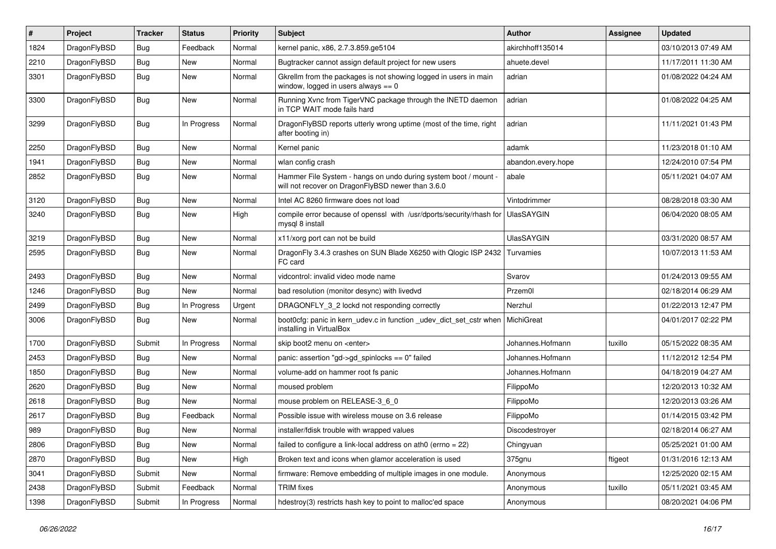| $\pmb{\#}$ | Project      | <b>Tracker</b> | <b>Status</b> | <b>Priority</b> | Subject                                                                                                              | <b>Author</b>      | Assignee | <b>Updated</b>      |
|------------|--------------|----------------|---------------|-----------------|----------------------------------------------------------------------------------------------------------------------|--------------------|----------|---------------------|
| 1824       | DragonFlyBSD | Bug            | Feedback      | Normal          | kernel panic, x86, 2.7.3.859.ge5104                                                                                  | akirchhoff135014   |          | 03/10/2013 07:49 AM |
| 2210       | DragonFlyBSD | Bug            | <b>New</b>    | Normal          | Bugtracker cannot assign default project for new users                                                               | ahuete.devel       |          | 11/17/2011 11:30 AM |
| 3301       | DragonFlyBSD | Bug            | <b>New</b>    | Normal          | Gkrellm from the packages is not showing logged in users in main<br>window, logged in users always $== 0$            | adrian             |          | 01/08/2022 04:24 AM |
| 3300       | DragonFlyBSD | Bug            | New           | Normal          | Running Xvnc from TigerVNC package through the INETD daemon<br>in TCP WAIT mode fails hard                           | adrian             |          | 01/08/2022 04:25 AM |
| 3299       | DragonFlyBSD | Bug            | In Progress   | Normal          | DragonFlyBSD reports utterly wrong uptime (most of the time, right<br>after booting in)                              | adrian             |          | 11/11/2021 01:43 PM |
| 2250       | DragonFlyBSD | Bug            | <b>New</b>    | Normal          | Kernel panic                                                                                                         | adamk              |          | 11/23/2018 01:10 AM |
| 1941       | DragonFlyBSD | Bug            | <b>New</b>    | Normal          | wlan config crash                                                                                                    | abandon.every.hope |          | 12/24/2010 07:54 PM |
| 2852       | DragonFlyBSD | Bug            | <b>New</b>    | Normal          | Hammer File System - hangs on undo during system boot / mount -<br>will not recover on DragonFlyBSD newer than 3.6.0 | abale              |          | 05/11/2021 04:07 AM |
| 3120       | DragonFlyBSD | Bug            | New           | Normal          | Intel AC 8260 firmware does not load                                                                                 | Vintodrimmer       |          | 08/28/2018 03:30 AM |
| 3240       | DragonFlyBSD | Bug            | <b>New</b>    | High            | compile error because of openssl with /usr/dports/security/rhash for<br>mysql 8 install                              | <b>UlasSAYGIN</b>  |          | 06/04/2020 08:05 AM |
| 3219       | DragonFlyBSD | Bug            | <b>New</b>    | Normal          | x11/xorg port can not be build                                                                                       | <b>UlasSAYGIN</b>  |          | 03/31/2020 08:57 AM |
| 2595       | DragonFlyBSD | Bug            | New           | Normal          | DragonFly 3.4.3 crashes on SUN Blade X6250 with Qlogic ISP 2432<br>FC card                                           | Turvamies          |          | 10/07/2013 11:53 AM |
| 2493       | DragonFlyBSD | Bug            | <b>New</b>    | Normal          | vidcontrol: invalid video mode name                                                                                  | Svarov             |          | 01/24/2013 09:55 AM |
| 1246       | DragonFlyBSD | Bug            | New           | Normal          | bad resolution (monitor desync) with livedvd                                                                         | Przem0l            |          | 02/18/2014 06:29 AM |
| 2499       | DragonFlyBSD | Bug            | In Progress   | Urgent          | DRAGONFLY_3_2 lockd not responding correctly                                                                         | Nerzhul            |          | 01/22/2013 12:47 PM |
| 3006       | DragonFlyBSD | Bug            | New           | Normal          | boot0cfg: panic in kern_udev.c in function _udev_dict_set_cstr when<br>installing in VirtualBox                      | MichiGreat         |          | 04/01/2017 02:22 PM |
| 1700       | DragonFlyBSD | Submit         | In Progress   | Normal          | skip boot2 menu on <enter></enter>                                                                                   | Johannes.Hofmann   | tuxillo  | 05/15/2022 08:35 AM |
| 2453       | DragonFlyBSD | Bug            | <b>New</b>    | Normal          | panic: assertion "gd->gd_spinlocks == 0" failed                                                                      | Johannes.Hofmann   |          | 11/12/2012 12:54 PM |
| 1850       | DragonFlyBSD | Bug            | <b>New</b>    | Normal          | volume-add on hammer root fs panic                                                                                   | Johannes.Hofmann   |          | 04/18/2019 04:27 AM |
| 2620       | DragonFlyBSD | Bug            | <b>New</b>    | Normal          | moused problem                                                                                                       | FilippoMo          |          | 12/20/2013 10:32 AM |
| 2618       | DragonFlyBSD | <b>Bug</b>     | <b>New</b>    | Normal          | mouse problem on RELEASE-3 6 0                                                                                       | FilippoMo          |          | 12/20/2013 03:26 AM |
| 2617       | DragonFlyBSD | Bug            | Feedback      | Normal          | Possible issue with wireless mouse on 3.6 release                                                                    | FilippoMo          |          | 01/14/2015 03:42 PM |
| 989        | DragonFlyBSD | Bug            | New           | Normal          | installer/fdisk trouble with wrapped values                                                                          | Discodestroyer     |          | 02/18/2014 06:27 AM |
| 2806       | DragonFlyBSD | <b>Bug</b>     | New           | Normal          | failed to configure a link-local address on ath0 (errno = 22)                                                        | Chingyuan          |          | 05/25/2021 01:00 AM |
| 2870       | DragonFlyBSD | Bug            | New           | High            | Broken text and icons when glamor acceleration is used                                                               | 375gnu             | ftigeot  | 01/31/2016 12:13 AM |
| 3041       | DragonFlyBSD | Submit         | New           | Normal          | firmware: Remove embedding of multiple images in one module.                                                         | Anonymous          |          | 12/25/2020 02:15 AM |
| 2438       | DragonFlyBSD | Submit         | Feedback      | Normal          | <b>TRIM</b> fixes                                                                                                    | Anonymous          | tuxillo  | 05/11/2021 03:45 AM |
| 1398       | DragonFlyBSD | Submit         | In Progress   | Normal          | hdestroy(3) restricts hash key to point to malloc'ed space                                                           | Anonymous          |          | 08/20/2021 04:06 PM |